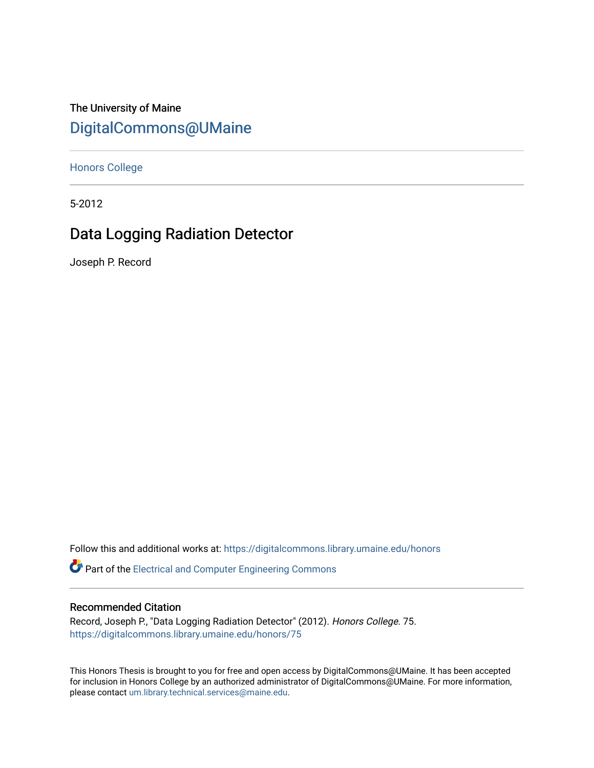The University of Maine [DigitalCommons@UMaine](https://digitalcommons.library.umaine.edu/)

[Honors College](https://digitalcommons.library.umaine.edu/honors)

5-2012

# Data Logging Radiation Detector

Joseph P. Record

Follow this and additional works at: [https://digitalcommons.library.umaine.edu/honors](https://digitalcommons.library.umaine.edu/honors?utm_source=digitalcommons.library.umaine.edu%2Fhonors%2F75&utm_medium=PDF&utm_campaign=PDFCoverPages) 

**P** Part of the Electrical and Computer Engineering Commons

## Recommended Citation

Record, Joseph P., "Data Logging Radiation Detector" (2012). Honors College. 75. [https://digitalcommons.library.umaine.edu/honors/75](https://digitalcommons.library.umaine.edu/honors/75?utm_source=digitalcommons.library.umaine.edu%2Fhonors%2F75&utm_medium=PDF&utm_campaign=PDFCoverPages) 

This Honors Thesis is brought to you for free and open access by DigitalCommons@UMaine. It has been accepted for inclusion in Honors College by an authorized administrator of DigitalCommons@UMaine. For more information, please contact [um.library.technical.services@maine.edu.](mailto:um.library.technical.services@maine.edu)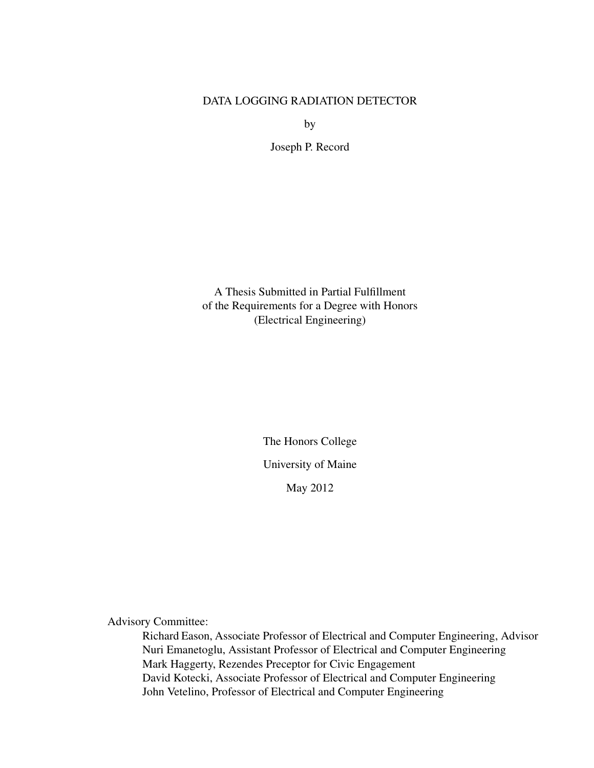# DATA LOGGING RADIATION DETECTOR

by

Joseph P. Record

A Thesis Submitted in Partial Fulfillment of the Requirements for a Degree with Honors (Electrical Engineering)

> The Honors College University of Maine May 2012

Advisory Committee:

Richard Eason, Associate Professor of Electrical and Computer Engineering, Advisor Nuri Emanetoglu, Assistant Professor of Electrical and Computer Engineering Mark Haggerty, Rezendes Preceptor for Civic Engagement David Kotecki, Associate Professor of Electrical and Computer Engineering John Vetelino, Professor of Electrical and Computer Engineering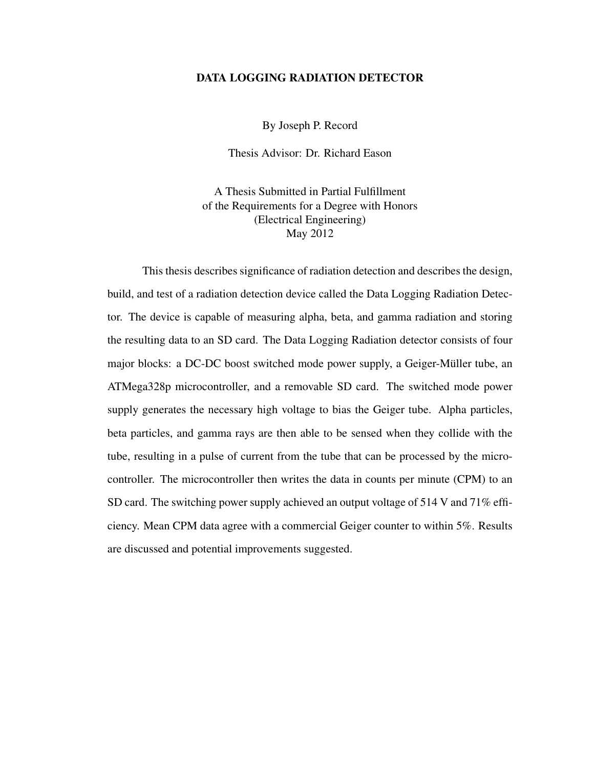#### DATA LOGGING RADIATION DETECTOR

By Joseph P. Record

Thesis Advisor: Dr. Richard Eason

A Thesis Submitted in Partial Fulfillment of the Requirements for a Degree with Honors (Electrical Engineering) May 2012

This thesis describes significance of radiation detection and describes the design, build, and test of a radiation detection device called the Data Logging Radiation Detector. The device is capable of measuring alpha, beta, and gamma radiation and storing the resulting data to an SD card. The Data Logging Radiation detector consists of four major blocks: a DC-DC boost switched mode power supply, a Geiger-Müller tube, an ATMega328p microcontroller, and a removable SD card. The switched mode power supply generates the necessary high voltage to bias the Geiger tube. Alpha particles, beta particles, and gamma rays are then able to be sensed when they collide with the tube, resulting in a pulse of current from the tube that can be processed by the microcontroller. The microcontroller then writes the data in counts per minute (CPM) to an SD card. The switching power supply achieved an output voltage of 514 V and 71% efficiency. Mean CPM data agree with a commercial Geiger counter to within 5%. Results are discussed and potential improvements suggested.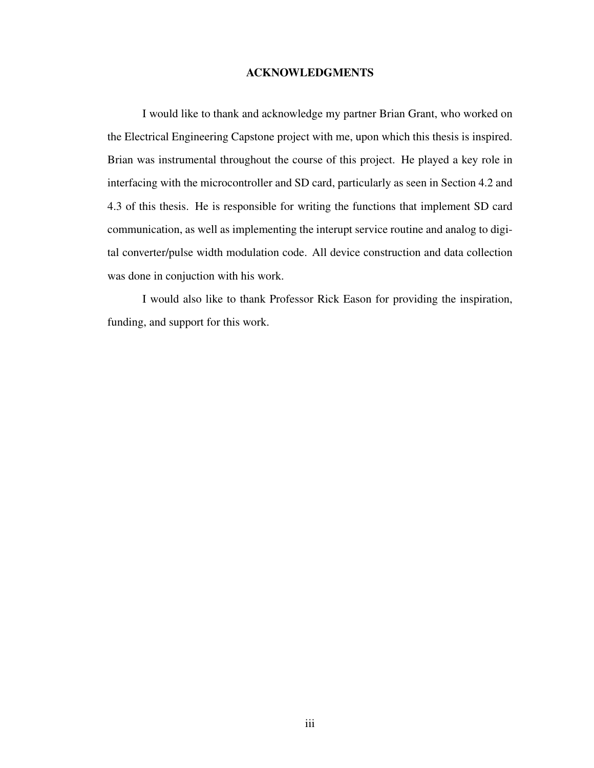#### ACKNOWLEDGMENTS

<span id="page-3-0"></span>I would like to thank and acknowledge my partner Brian Grant, who worked on the Electrical Engineering Capstone project with me, upon which this thesis is inspired. Brian was instrumental throughout the course of this project. He played a key role in interfacing with the microcontroller and SD card, particularly as seen in Section [4.2](#page-34-0) and [4.3](#page-39-0) of this thesis. He is responsible for writing the functions that implement SD card communication, as well as implementing the interupt service routine and analog to digital converter/pulse width modulation code. All device construction and data collection was done in conjuction with his work.

I would also like to thank Professor Rick Eason for providing the inspiration, funding, and support for this work.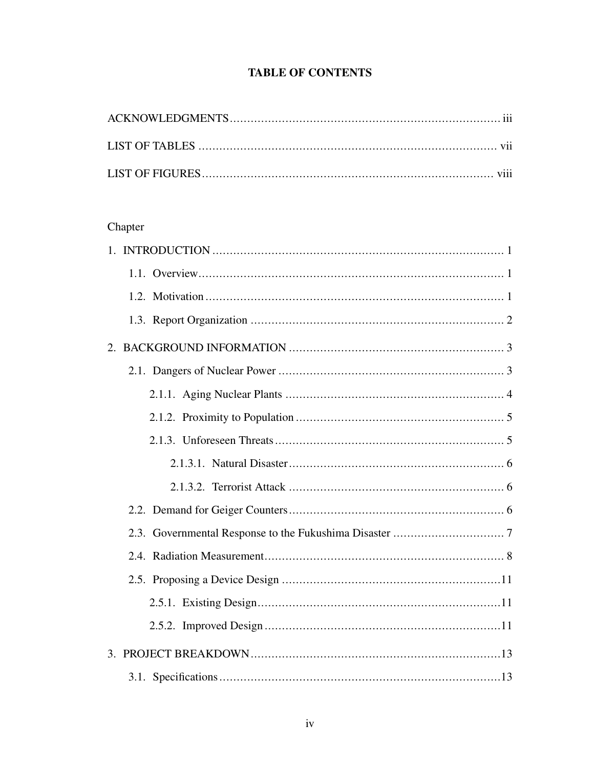# **TABLE OF CONTENTS**

# Chapter

| $1_{-}$ |
|---------|
|         |
|         |
|         |
|         |
|         |
|         |
|         |
|         |
|         |
|         |
|         |
|         |
|         |
|         |
|         |
|         |
|         |
|         |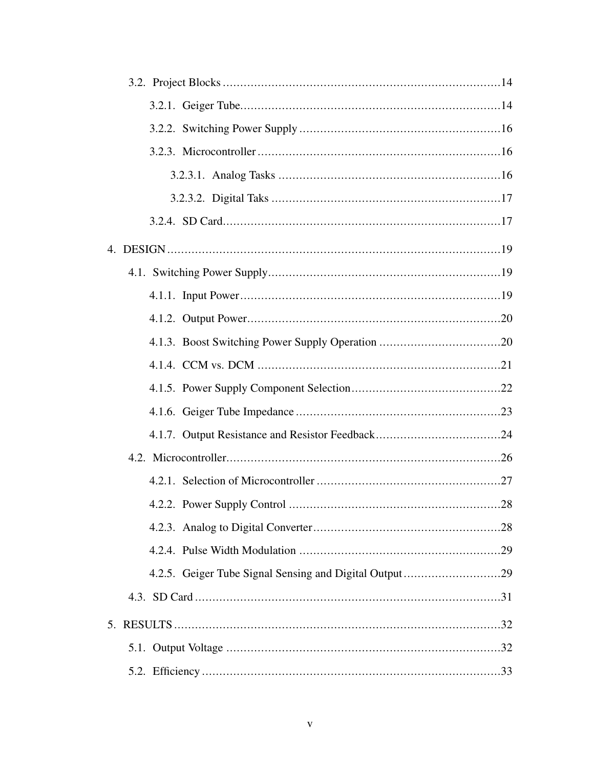| 5. |  |
|----|--|
|    |  |
|    |  |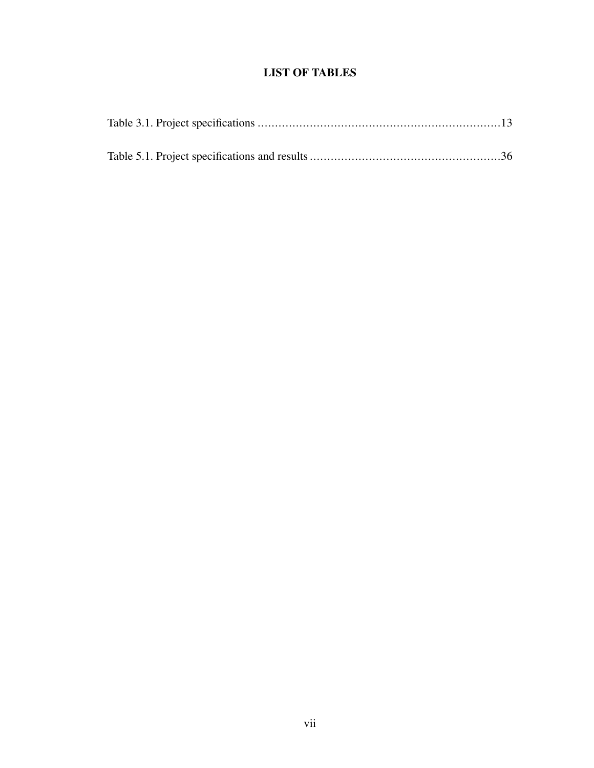# LIST OF TABLES

<span id="page-7-0"></span>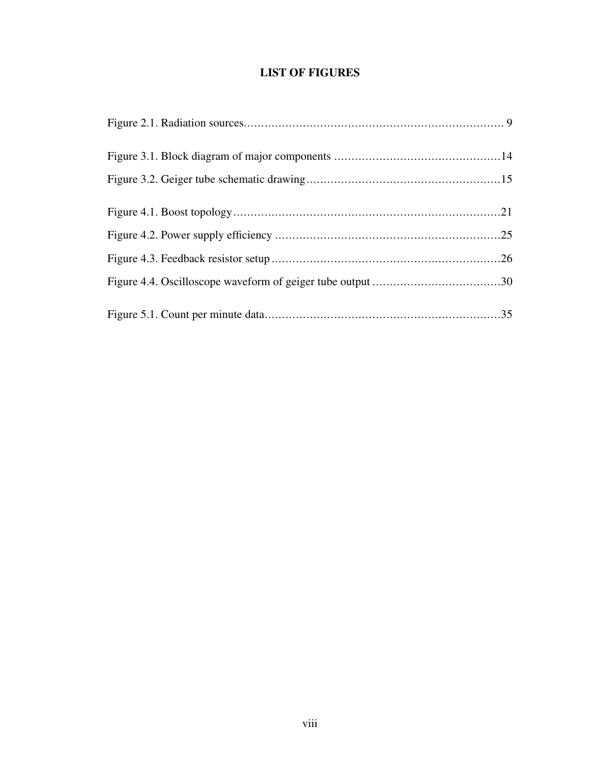# LIST OF FIGURES

<span id="page-8-0"></span>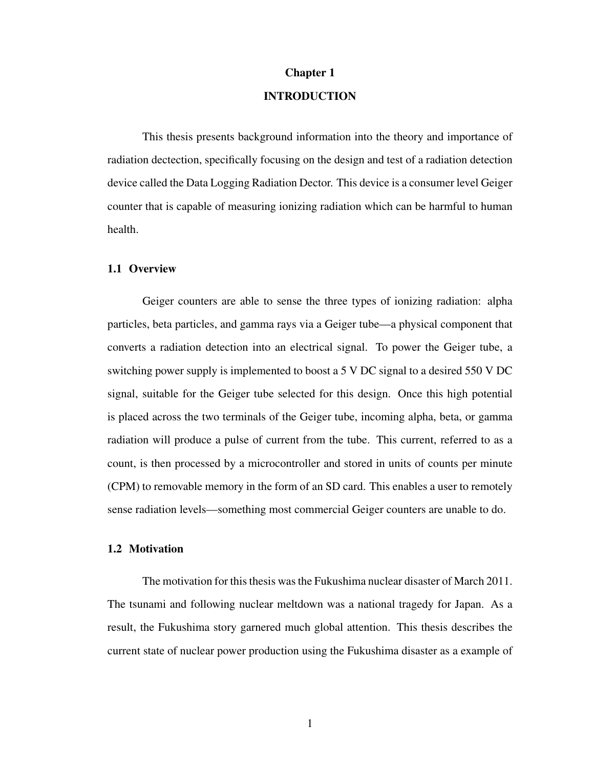#### Chapter 1

# INTRODUCTION

<span id="page-9-0"></span>This thesis presents background information into the theory and importance of radiation dectection, specifically focusing on the design and test of a radiation detection device called the Data Logging Radiation Dector. This device is a consumer level Geiger counter that is capable of measuring ionizing radiation which can be harmful to human health.

#### <span id="page-9-1"></span>1.1 Overview

Geiger counters are able to sense the three types of ionizing radiation: alpha particles, beta particles, and gamma rays via a Geiger tube—a physical component that converts a radiation detection into an electrical signal. To power the Geiger tube, a switching power supply is implemented to boost a 5 V DC signal to a desired 550 V DC signal, suitable for the Geiger tube selected for this design. Once this high potential is placed across the two terminals of the Geiger tube, incoming alpha, beta, or gamma radiation will produce a pulse of current from the tube. This current, referred to as a count, is then processed by a microcontroller and stored in units of counts per minute (CPM) to removable memory in the form of an SD card. This enables a user to remotely sense radiation levels—something most commercial Geiger counters are unable to do.

#### <span id="page-9-2"></span>1.2 Motivation

The motivation for this thesis was the Fukushima nuclear disaster of March 2011. The tsunami and following nuclear meltdown was a national tragedy for Japan. As a result, the Fukushima story garnered much global attention. This thesis describes the current state of nuclear power production using the Fukushima disaster as a example of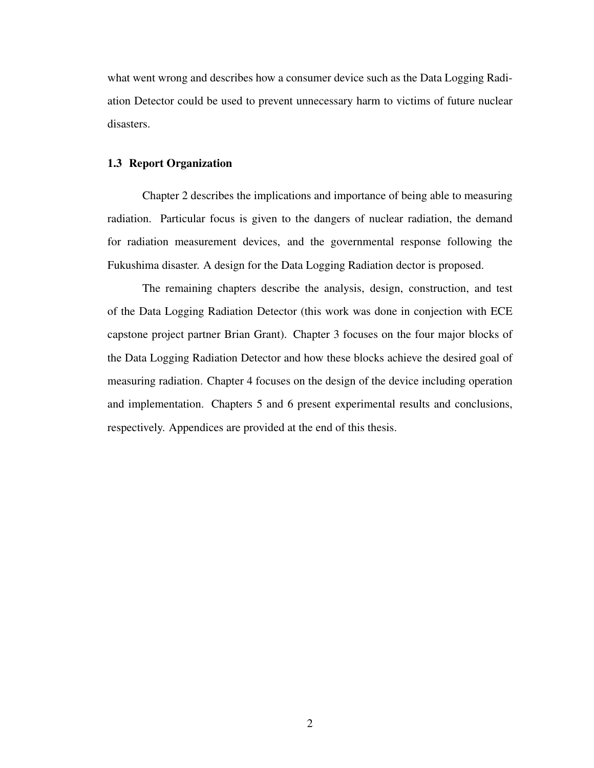what went wrong and describes how a consumer device such as the Data Logging Radiation Detector could be used to prevent unnecessary harm to victims of future nuclear disasters.

#### <span id="page-10-0"></span>1.3 Report Organization

Chapter 2 describes the implications and importance of being able to measuring radiation. Particular focus is given to the dangers of nuclear radiation, the demand for radiation measurement devices, and the governmental response following the Fukushima disaster. A design for the Data Logging Radiation dector is proposed.

The remaining chapters describe the analysis, design, construction, and test of the Data Logging Radiation Detector (this work was done in conjection with ECE capstone project partner Brian Grant). Chapter [3](#page-21-0) focuses on the four major blocks of the Data Logging Radiation Detector and how these blocks achieve the desired goal of measuring radiation. Chapter [4](#page-27-0) focuses on the design of the device including operation and implementation. Chapters [5](#page-40-0) and [6](#page-45-0) present experimental results and conclusions, respectively. Appendices are provided at the end of this thesis.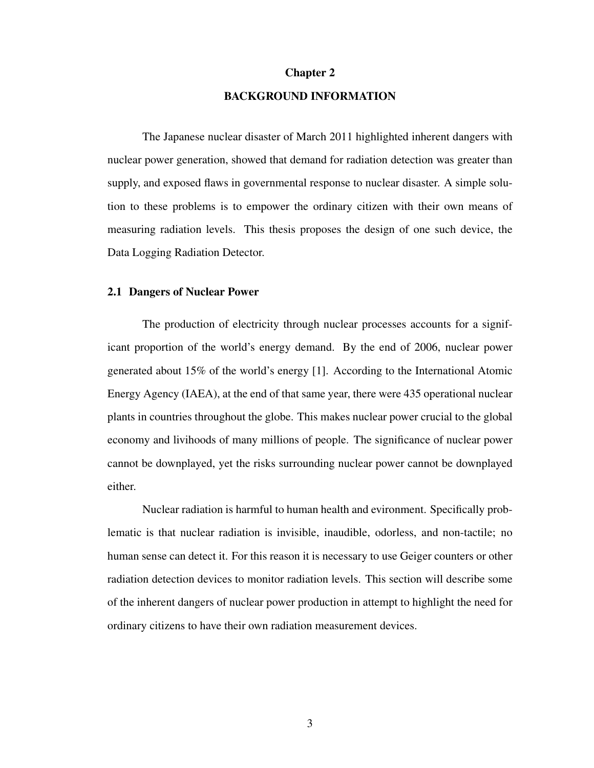#### Chapter 2

# BACKGROUND INFORMATION

<span id="page-11-0"></span>The Japanese nuclear disaster of March 2011 highlighted inherent dangers with nuclear power generation, showed that demand for radiation detection was greater than supply, and exposed flaws in governmental response to nuclear disaster. A simple solution to these problems is to empower the ordinary citizen with their own means of measuring radiation levels. This thesis proposes the design of one such device, the Data Logging Radiation Detector.

#### <span id="page-11-1"></span>2.1 Dangers of Nuclear Power

The production of electricity through nuclear processes accounts for a significant proportion of the world's energy demand. By the end of 2006, nuclear power generated about 15% of the world's energy [\[1\]](#page-47-1). According to the International Atomic Energy Agency (IAEA), at the end of that same year, there were 435 operational nuclear plants in countries throughout the globe. This makes nuclear power crucial to the global economy and livihoods of many millions of people. The significance of nuclear power cannot be downplayed, yet the risks surrounding nuclear power cannot be downplayed either.

Nuclear radiation is harmful to human health and evironment. Specifically problematic is that nuclear radiation is invisible, inaudible, odorless, and non-tactile; no human sense can detect it. For this reason it is necessary to use Geiger counters or other radiation detection devices to monitor radiation levels. This section will describe some of the inherent dangers of nuclear power production in attempt to highlight the need for ordinary citizens to have their own radiation measurement devices.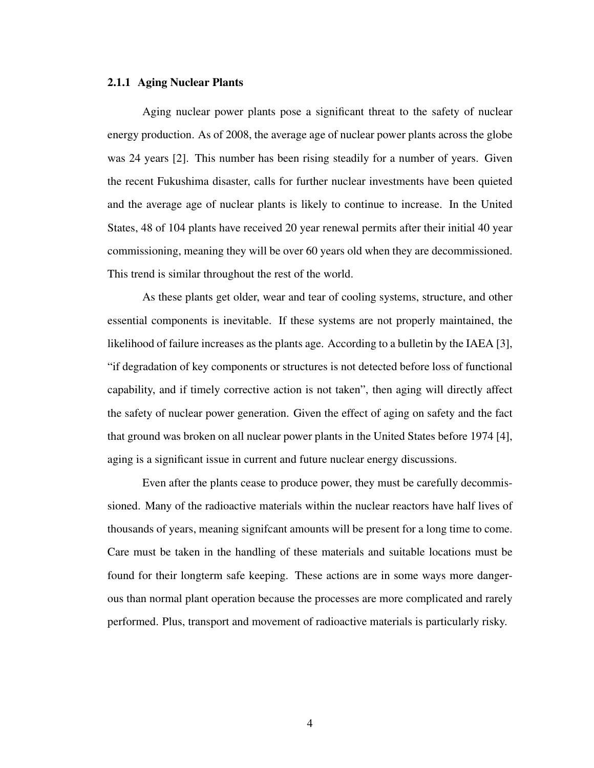#### <span id="page-12-0"></span>2.1.1 Aging Nuclear Plants

Aging nuclear power plants pose a significant threat to the safety of nuclear energy production. As of 2008, the average age of nuclear power plants across the globe was 24 years [\[2\]](#page-47-2). This number has been rising steadily for a number of years. Given the recent Fukushima disaster, calls for further nuclear investments have been quieted and the average age of nuclear plants is likely to continue to increase. In the United States, 48 of 104 plants have received 20 year renewal permits after their initial 40 year commissioning, meaning they will be over 60 years old when they are decommissioned. This trend is similar throughout the rest of the world.

As these plants get older, wear and tear of cooling systems, structure, and other essential components is inevitable. If these systems are not properly maintained, the likelihood of failure increases as the plants age. According to a bulletin by the IAEA [\[3\]](#page-47-3), "if degradation of key components or structures is not detected before loss of functional capability, and if timely corrective action is not taken", then aging will directly affect the safety of nuclear power generation. Given the effect of aging on safety and the fact that ground was broken on all nuclear power plants in the United States before 1974 [\[4\]](#page-47-4), aging is a significant issue in current and future nuclear energy discussions.

Even after the plants cease to produce power, they must be carefully decommissioned. Many of the radioactive materials within the nuclear reactors have half lives of thousands of years, meaning signifcant amounts will be present for a long time to come. Care must be taken in the handling of these materials and suitable locations must be found for their longterm safe keeping. These actions are in some ways more dangerous than normal plant operation because the processes are more complicated and rarely performed. Plus, transport and movement of radioactive materials is particularly risky.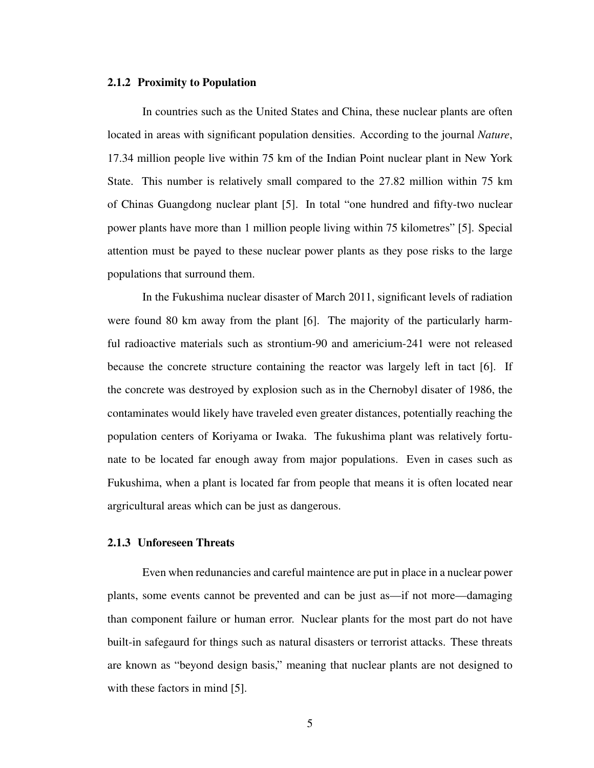#### <span id="page-13-0"></span>2.1.2 Proximity to Population

In countries such as the United States and China, these nuclear plants are often located in areas with significant population densities. According to the journal *Nature*, 17.34 million people live within 75 km of the Indian Point nuclear plant in New York State. This number is relatively small compared to the 27.82 million within 75 km of Chinas Guangdong nuclear plant [\[5\]](#page-47-5). In total "one hundred and fifty-two nuclear power plants have more than 1 million people living within 75 kilometres" [\[5\]](#page-47-5). Special attention must be payed to these nuclear power plants as they pose risks to the large populations that surround them.

In the Fukushima nuclear disaster of March 2011, significant levels of radiation were found 80 km away from the plant [\[6\]](#page-47-6). The majority of the particularly harmful radioactive materials such as strontium-90 and americium-241 were not released because the concrete structure containing the reactor was largely left in tact [\[6\]](#page-47-6). If the concrete was destroyed by explosion such as in the Chernobyl disater of 1986, the contaminates would likely have traveled even greater distances, potentially reaching the population centers of Koriyama or Iwaka. The fukushima plant was relatively fortunate to be located far enough away from major populations. Even in cases such as Fukushima, when a plant is located far from people that means it is often located near argricultural areas which can be just as dangerous.

## <span id="page-13-1"></span>2.1.3 Unforeseen Threats

Even when redunancies and careful maintence are put in place in a nuclear power plants, some events cannot be prevented and can be just as—if not more—damaging than component failure or human error. Nuclear plants for the most part do not have built-in safegaurd for things such as natural disasters or terrorist attacks. These threats are known as "beyond design basis," meaning that nuclear plants are not designed to with these factors in mind [\[5\]](#page-47-5).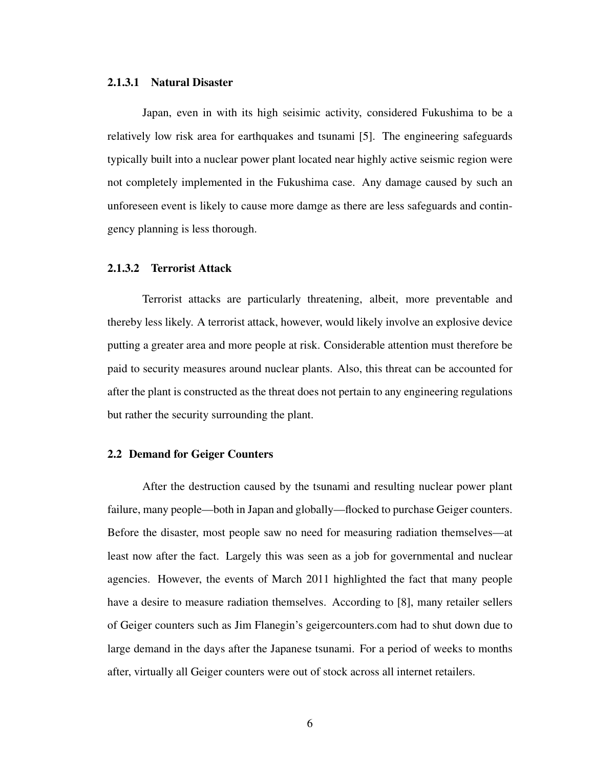#### <span id="page-14-0"></span>2.1.3.1 Natural Disaster

Japan, even in with its high seisimic activity, considered Fukushima to be a relatively low risk area for earthquakes and tsunami [\[5\]](#page-47-5). The engineering safeguards typically built into a nuclear power plant located near highly active seismic region were not completely implemented in the Fukushima case. Any damage caused by such an unforeseen event is likely to cause more damge as there are less safeguards and contingency planning is less thorough.

#### <span id="page-14-1"></span>2.1.3.2 Terrorist Attack

Terrorist attacks are particularly threatening, albeit, more preventable and thereby less likely. A terrorist attack, however, would likely involve an explosive device putting a greater area and more people at risk. Considerable attention must therefore be paid to security measures around nuclear plants. Also, this threat can be accounted for after the plant is constructed as the threat does not pertain to any engineering regulations but rather the security surrounding the plant.

#### <span id="page-14-2"></span>2.2 Demand for Geiger Counters

After the destruction caused by the tsunami and resulting nuclear power plant failure, many people—both in Japan and globally—flocked to purchase Geiger counters. Before the disaster, most people saw no need for measuring radiation themselves—at least now after the fact. Largely this was seen as a job for governmental and nuclear agencies. However, the events of March 2011 highlighted the fact that many people have a desire to measure radiation themselves. According to [\[8\]](#page-47-7), many retailer sellers of Geiger counters such as Jim Flanegin's [geigercounters.com](Geigercounters.com) had to shut down due to large demand in the days after the Japanese tsunami. For a period of weeks to months after, virtually all Geiger counters were out of stock across all internet retailers.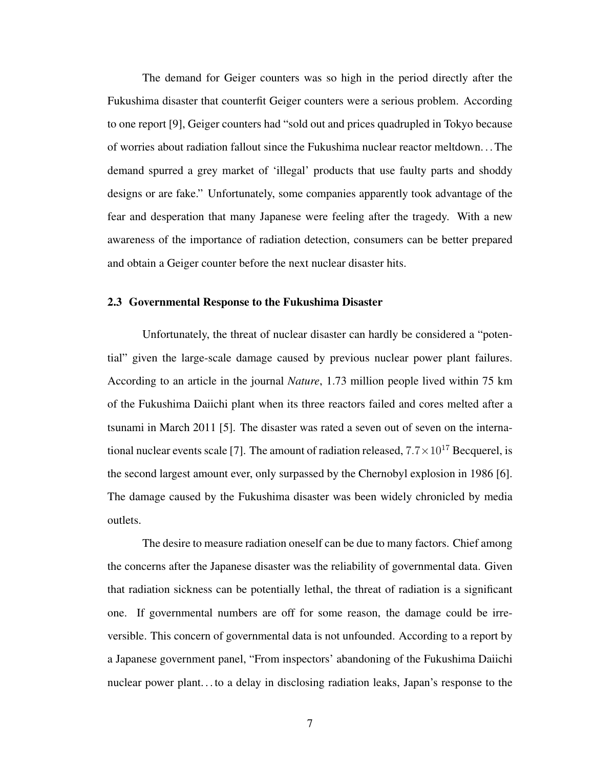The demand for Geiger counters was so high in the period directly after the Fukushima disaster that counterfit Geiger counters were a serious problem. According to one report [\[9\]](#page-47-8), Geiger counters had "sold out and prices quadrupled in Tokyo because of worries about radiation fallout since the Fukushima nuclear reactor meltdown. . . The demand spurred a grey market of 'illegal' products that use faulty parts and shoddy designs or are fake." Unfortunately, some companies apparently took advantage of the fear and desperation that many Japanese were feeling after the tragedy. With a new awareness of the importance of radiation detection, consumers can be better prepared and obtain a Geiger counter before the next nuclear disaster hits.

#### <span id="page-15-0"></span>2.3 Governmental Response to the Fukushima Disaster

Unfortunately, the threat of nuclear disaster can hardly be considered a "potential" given the large-scale damage caused by previous nuclear power plant failures. According to an article in the journal *Nature*, 1.73 million people lived within 75 km of the Fukushima Daiichi plant when its three reactors failed and cores melted after a tsunami in March 2011 [\[5\]](#page-47-5). The disaster was rated a seven out of seven on the interna-tional nuclear events scale [\[7\]](#page-47-9). The amount of radiation released,  $7.7 \times 10^{17}$  Becquerel, is the second largest amount ever, only surpassed by the Chernobyl explosion in 1986 [\[6\]](#page-47-6). The damage caused by the Fukushima disaster was been widely chronicled by media outlets.

The desire to measure radiation oneself can be due to many factors. Chief among the concerns after the Japanese disaster was the reliability of governmental data. Given that radiation sickness can be potentially lethal, the threat of radiation is a significant one. If governmental numbers are off for some reason, the damage could be irreversible. This concern of governmental data is not unfounded. According to a report by a Japanese government panel, "From inspectors' abandoning of the Fukushima Daiichi nuclear power plant. . . to a delay in disclosing radiation leaks, Japan's response to the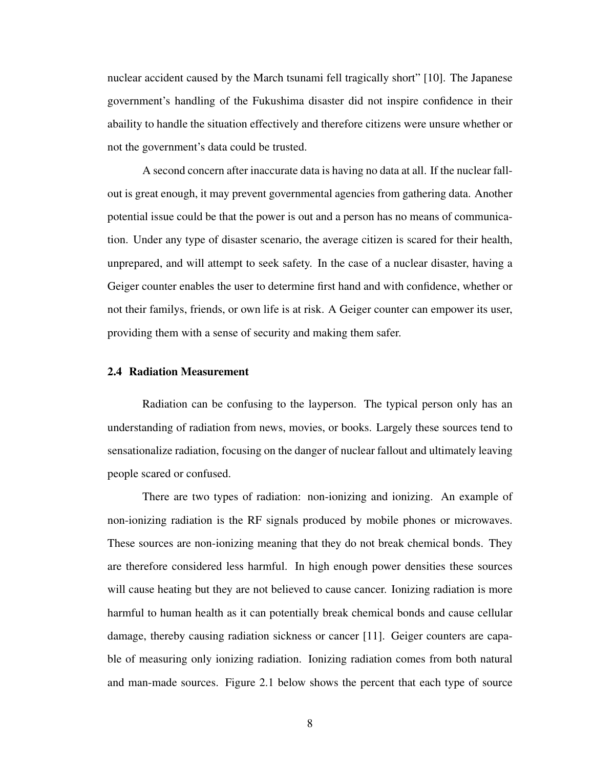nuclear accident caused by the March tsunami fell tragically short" [\[10\]](#page-47-10). The Japanese government's handling of the Fukushima disaster did not inspire confidence in their abaility to handle the situation effectively and therefore citizens were unsure whether or not the government's data could be trusted.

A second concern after inaccurate data is having no data at all. If the nuclear fallout is great enough, it may prevent governmental agencies from gathering data. Another potential issue could be that the power is out and a person has no means of communication. Under any type of disaster scenario, the average citizen is scared for their health, unprepared, and will attempt to seek safety. In the case of a nuclear disaster, having a Geiger counter enables the user to determine first hand and with confidence, whether or not their familys, friends, or own life is at risk. A Geiger counter can empower its user, providing them with a sense of security and making them safer.

#### <span id="page-16-0"></span>2.4 Radiation Measurement

Radiation can be confusing to the layperson. The typical person only has an understanding of radiation from news, movies, or books. Largely these sources tend to sensationalize radiation, focusing on the danger of nuclear fallout and ultimately leaving people scared or confused.

There are two types of radiation: non-ionizing and ionizing. An example of non-ionizing radiation is the RF signals produced by mobile phones or microwaves. These sources are non-ionizing meaning that they do not break chemical bonds. They are therefore considered less harmful. In high enough power densities these sources will cause heating but they are not believed to cause cancer. Ionizing radiation is more harmful to human health as it can potentially break chemical bonds and cause cellular damage, thereby causing radiation sickness or cancer [\[11\]](#page-48-0). Geiger counters are capable of measuring only ionizing radiation. Ionizing radiation comes from both natural and man-made sources. Figure [2.1](#page-17-0) below shows the percent that each type of source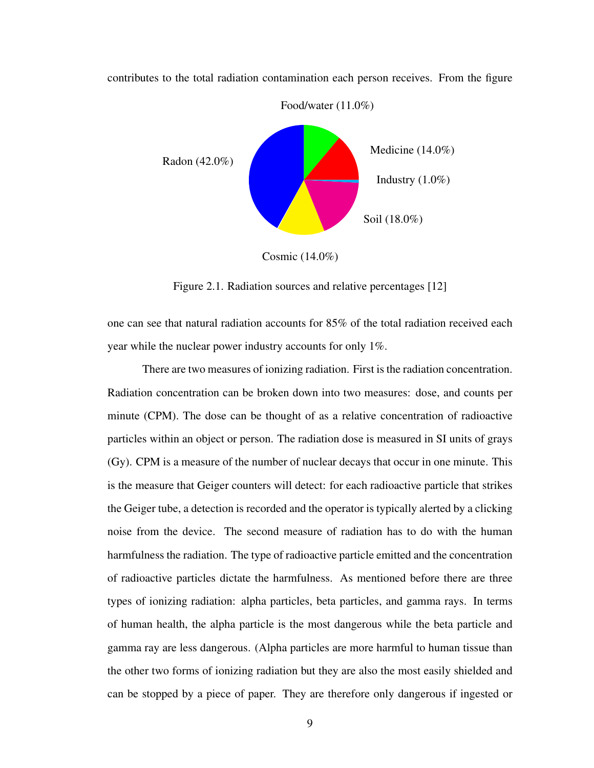

contributes to the total radiation contamination each person receives. From the figure

<span id="page-17-0"></span>Figure 2.1. Radiation sources and relative percentages [\[12\]](#page-48-1)

one can see that natural radiation accounts for 85% of the total radiation received each year while the nuclear power industry accounts for only 1%.

There are two measures of ionizing radiation. First is the radiation concentration. Radiation concentration can be broken down into two measures: dose, and counts per minute (CPM). The dose can be thought of as a relative concentration of radioactive particles within an object or person. The radiation dose is measured in SI units of grays (Gy). CPM is a measure of the number of nuclear decays that occur in one minute. This is the measure that Geiger counters will detect: for each radioactive particle that strikes the Geiger tube, a detection is recorded and the operator is typically alerted by a clicking noise from the device. The second measure of radiation has to do with the human harmfulness the radiation. The type of radioactive particle emitted and the concentration of radioactive particles dictate the harmfulness. As mentioned before there are three types of ionizing radiation: alpha particles, beta particles, and gamma rays. In terms of human health, the alpha particle is the most dangerous while the beta particle and gamma ray are less dangerous. (Alpha particles are more harmful to human tissue than the other two forms of ionizing radiation but they are also the most easily shielded and can be stopped by a piece of paper. They are therefore only dangerous if ingested or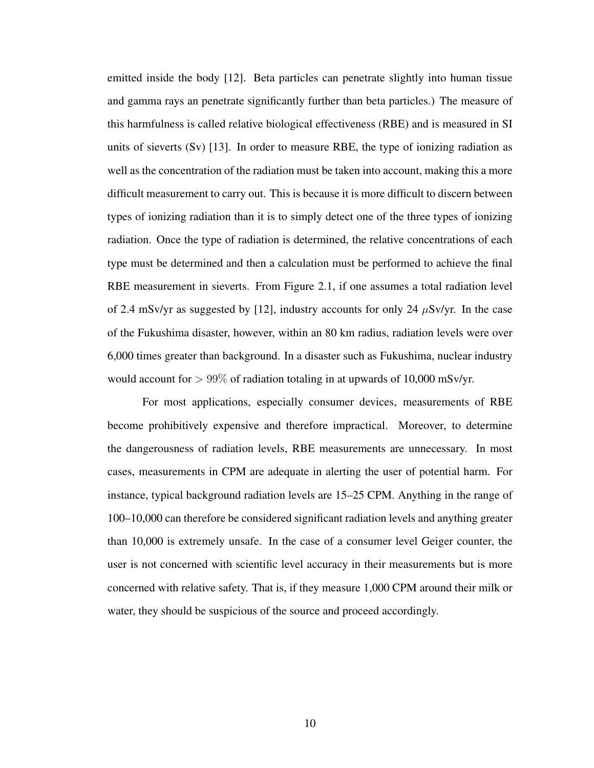emitted inside the body [\[12\]](#page-48-1). Beta particles can penetrate slightly into human tissue and gamma rays an penetrate significantly further than beta particles.) The measure of this harmfulness is called relative biological effectiveness (RBE) and is measured in SI units of sieverts  $(Sv)$  [\[13\]](#page-48-2). In order to measure RBE, the type of ionizing radiation as well as the concentration of the radiation must be taken into account, making this a more difficult measurement to carry out. This is because it is more difficult to discern between types of ionizing radiation than it is to simply detect one of the three types of ionizing radiation. Once the type of radiation is determined, the relative concentrations of each type must be determined and then a calculation must be performed to achieve the final RBE measurement in sieverts. From Figure [2.1,](#page-17-0) if one assumes a total radiation level of 2.4 mSv/yr as suggested by [\[12\]](#page-48-1), industry accounts for only 24  $\mu$ Sv/yr. In the case of the Fukushima disaster, however, within an 80 km radius, radiation levels were over 6,000 times greater than background. In a disaster such as Fukushima, nuclear industry would account for  $> 99\%$  of radiation totaling in at upwards of 10,000 mSv/yr.

For most applications, especially consumer devices, measurements of RBE become prohibitively expensive and therefore impractical. Moreover, to determine the dangerousness of radiation levels, RBE measurements are unnecessary. In most cases, measurements in CPM are adequate in alerting the user of potential harm. For instance, typical background radiation levels are 15–25 CPM. Anything in the range of 100–10,000 can therefore be considered significant radiation levels and anything greater than 10,000 is extremely unsafe. In the case of a consumer level Geiger counter, the user is not concerned with scientific level accuracy in their measurements but is more concerned with relative safety. That is, if they measure 1,000 CPM around their milk or water, they should be suspicious of the source and proceed accordingly.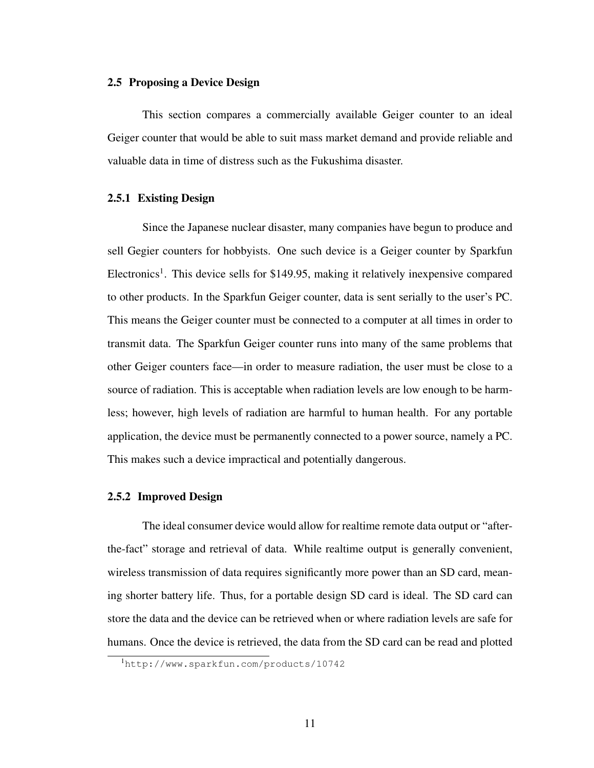#### <span id="page-19-0"></span>2.5 Proposing a Device Design

This section compares a commercially available Geiger counter to an ideal Geiger counter that would be able to suit mass market demand and provide reliable and valuable data in time of distress such as the Fukushima disaster.

## <span id="page-19-1"></span>2.5.1 Existing Design

Since the Japanese nuclear disaster, many companies have begun to produce and sell Gegier counters for hobbyists. One such device is a Geiger counter by Sparkfun Electronics<sup>[1](#page-19-3)</sup>. This device sells for \$149.95, making it relatively inexpensive compared to other products. In the Sparkfun Geiger counter, data is sent serially to the user's PC. This means the Geiger counter must be connected to a computer at all times in order to transmit data. The Sparkfun Geiger counter runs into many of the same problems that other Geiger counters face—in order to measure radiation, the user must be close to a source of radiation. This is acceptable when radiation levels are low enough to be harmless; however, high levels of radiation are harmful to human health. For any portable application, the device must be permanently connected to a power source, namely a PC. This makes such a device impractical and potentially dangerous.

#### <span id="page-19-2"></span>2.5.2 Improved Design

The ideal consumer device would allow for realtime remote data output or "afterthe-fact" storage and retrieval of data. While realtime output is generally convenient, wireless transmission of data requires significantly more power than an SD card, meaning shorter battery life. Thus, for a portable design SD card is ideal. The SD card can store the data and the device can be retrieved when or where radiation levels are safe for humans. Once the device is retrieved, the data from the SD card can be read and plotted

<span id="page-19-3"></span><sup>1</sup><http://www.sparkfun.com/products/10742>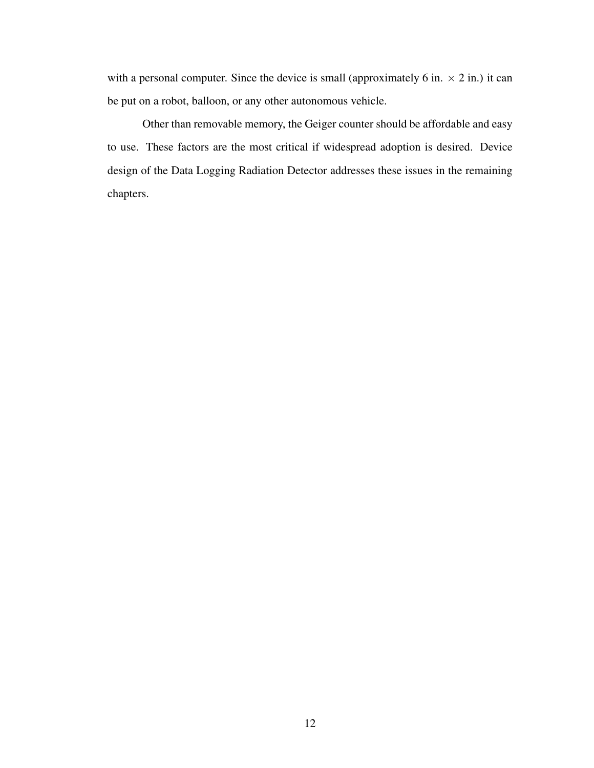with a personal computer. Since the device is small (approximately 6 in.  $\times$  2 in.) it can be put on a robot, balloon, or any other autonomous vehicle.

Other than removable memory, the Geiger counter should be affordable and easy to use. These factors are the most critical if widespread adoption is desired. Device design of the Data Logging Radiation Detector addresses these issues in the remaining chapters.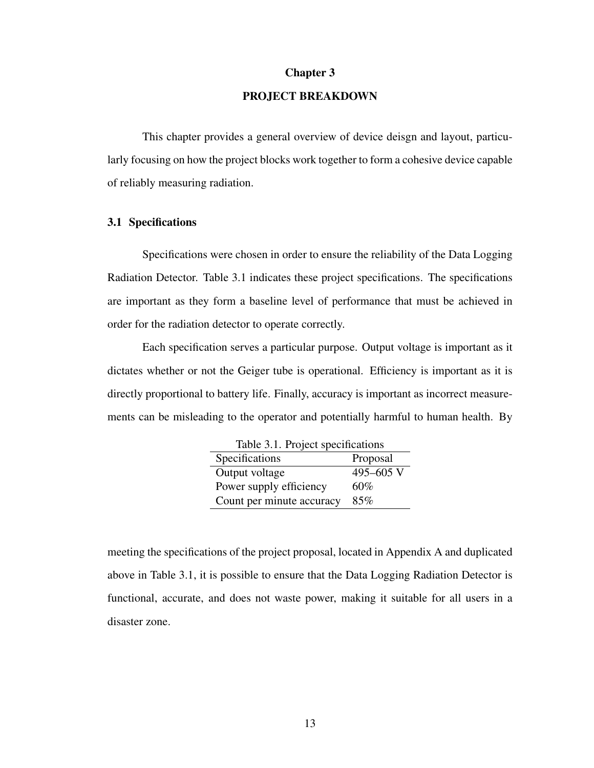#### Chapter 3

# PROJECT BREAKDOWN

<span id="page-21-0"></span>This chapter provides a general overview of device deisgn and layout, particularly focusing on how the project blocks work together to form a cohesive device capable of reliably measuring radiation.

#### <span id="page-21-1"></span>3.1 Specifications

Specifications were chosen in order to ensure the reliability of the Data Logging Radiation Detector. Table [3.1](#page-21-2) indicates these project specifications. The specifications are important as they form a baseline level of performance that must be achieved in order for the radiation detector to operate correctly.

Each specification serves a particular purpose. Output voltage is important as it dictates whether or not the Geiger tube is operational. Efficiency is important as it is directly proportional to battery life. Finally, accuracy is important as incorrect measurements can be misleading to the operator and potentially harmful to human health. By

<span id="page-21-2"></span>

| Table 3.1. Project specifications |           |  |
|-----------------------------------|-----------|--|
| Specifications                    | Proposal  |  |
| Output voltage                    | 495-605 V |  |
| Power supply efficiency           | 60%       |  |
| Count per minute accuracy         | 85%       |  |

meeting the specifications of the project proposal, located in Appendix [A](#page-49-0) and duplicated above in Table [3.1,](#page-21-2) it is possible to ensure that the Data Logging Radiation Detector is functional, accurate, and does not waste power, making it suitable for all users in a disaster zone.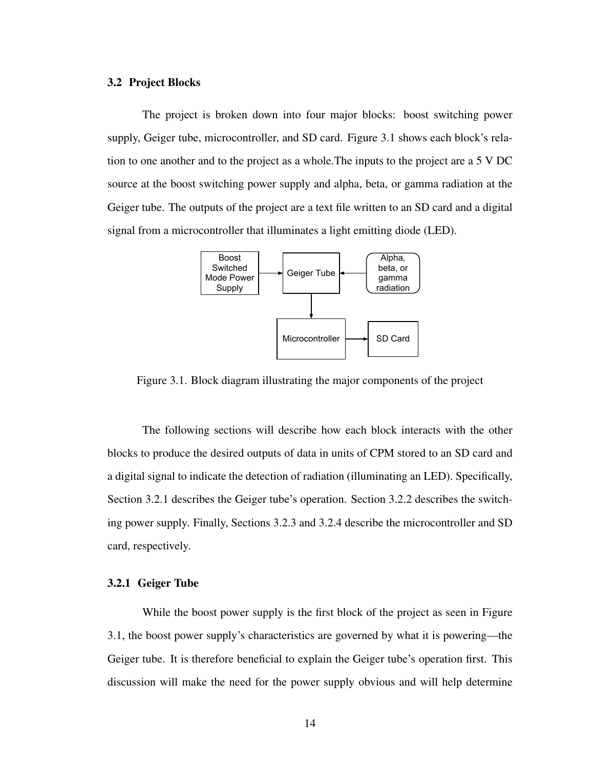#### <span id="page-22-0"></span>3.2 Project Blocks

The project is broken down into four major blocks: boost switching power supply, Geiger tube, microcontroller, and SD card. Figure [3.1](#page-22-2) shows each block's relation to one another and to the project as a whole.The inputs to the project are a 5 V DC source at the boost switching power supply and alpha, beta, or gamma radiation at the Geiger tube. The outputs of the project are a text file written to an SD card and a digital signal from a microcontroller that illuminates a light emitting diode (LED).



<span id="page-22-2"></span>Figure 3.1. Block diagram illustrating the major components of the project

The following sections will describe how each block interacts with the other blocks to produce the desired outputs of data in units of CPM stored to an SD card and a digital signal to indicate the detection of radiation (illuminating an LED). Specifically, Section [3.2.1](#page-22-1) describes the Geiger tube's operation. Section [3.2.2](#page-24-0) describes the switching power supply. Finally, Sections [3.2.3](#page-24-1) and [3.2.4](#page-25-1) describe the microcontroller and SD card, respectively.

# <span id="page-22-1"></span>3.2.1 Geiger Tube

While the boost power supply is the first block of the project as seen in Figure [3.1,](#page-22-2) the boost power supply's characteristics are governed by what it is powering—the Geiger tube. It is therefore beneficial to explain the Geiger tube's operation first. This discussion will make the need for the power supply obvious and will help determine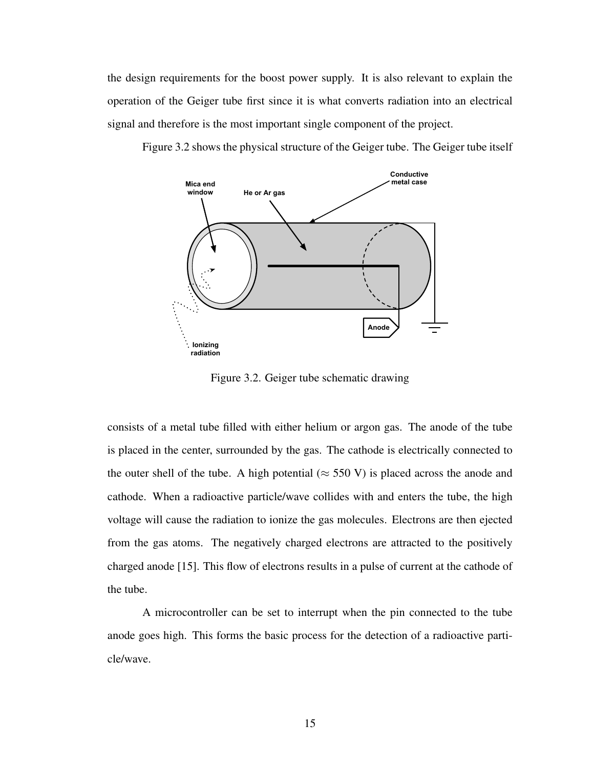the design requirements for the boost power supply. It is also relevant to explain the operation of the Geiger tube first since it is what converts radiation into an electrical signal and therefore is the most important single component of the project.

Figure [3.2](#page-23-0) shows the physical structure of the Geiger tube. The Geiger tube itself



<span id="page-23-0"></span>Figure 3.2. Geiger tube schematic drawing

consists of a metal tube filled with either helium or argon gas. The anode of the tube is placed in the center, surrounded by the gas. The cathode is electrically connected to the outer shell of the tube. A high potential ( $\approx$  550 V) is placed across the anode and cathode. When a radioactive particle/wave collides with and enters the tube, the high voltage will cause the radiation to ionize the gas molecules. Electrons are then ejected from the gas atoms. The negatively charged electrons are attracted to the positively charged anode [\[15\]](#page-48-3). This flow of electrons results in a pulse of current at the cathode of the tube.

A microcontroller can be set to interrupt when the pin connected to the tube anode goes high. This forms the basic process for the detection of a radioactive particle/wave.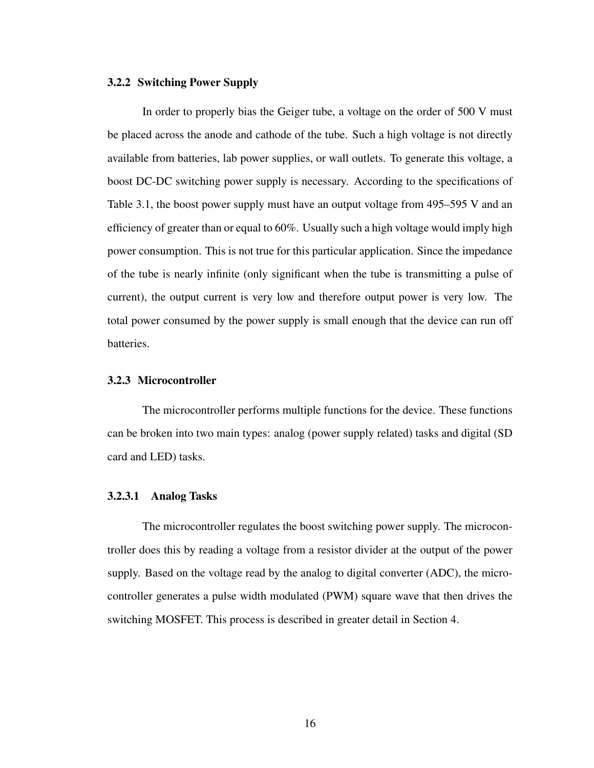#### <span id="page-24-0"></span>3.2.2 Switching Power Supply

In order to properly bias the Geiger tube, a voltage on the order of 500 V must be placed across the anode and cathode of the tube. Such a high voltage is not directly available from batteries, lab power supplies, or wall outlets. To generate this voltage, a boost DC-DC switching power supply is necessary. According to the specifications of Table [3.1,](#page-21-2) the boost power supply must have an output voltage from 495–595 V and an efficiency of greater than or equal to 60%. Usually such a high voltage would imply high power consumption. This is not true for this particular application. Since the impedance of the tube is nearly infinite (only significant when the tube is transmitting a pulse of current), the output current is very low and therefore output power is very low. The total power consumed by the power supply is small enough that the device can run off batteries.

#### <span id="page-24-1"></span>3.2.3 Microcontroller

The microcontroller performs multiple functions for the device. These functions can be broken into two main types: analog (power supply related) tasks and digital (SD card and LED) tasks.

#### <span id="page-24-2"></span>3.2.3.1 Analog Tasks

The microcontroller regulates the boost switching power supply. The microcontroller does this by reading a voltage from a resistor divider at the output of the power supply. Based on the voltage read by the analog to digital converter (ADC), the microcontroller generates a pulse width modulated (PWM) square wave that then drives the switching MOSFET. This process is described in greater detail in Section [4.](#page-27-0)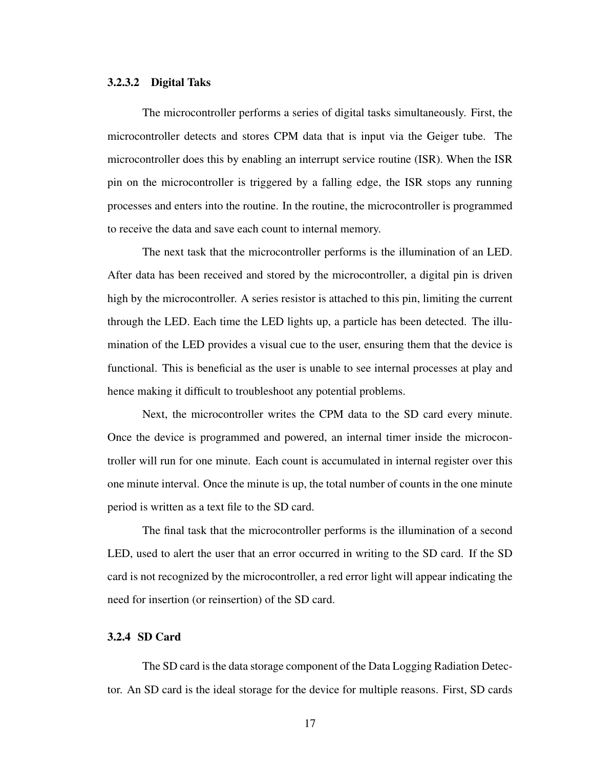## <span id="page-25-0"></span>3.2.3.2 Digital Taks

The microcontroller performs a series of digital tasks simultaneously. First, the microcontroller detects and stores CPM data that is input via the Geiger tube. The microcontroller does this by enabling an interrupt service routine (ISR). When the ISR pin on the microcontroller is triggered by a falling edge, the ISR stops any running processes and enters into the routine. In the routine, the microcontroller is programmed to receive the data and save each count to internal memory.

The next task that the microcontroller performs is the illumination of an LED. After data has been received and stored by the microcontroller, a digital pin is driven high by the microcontroller. A series resistor is attached to this pin, limiting the current through the LED. Each time the LED lights up, a particle has been detected. The illumination of the LED provides a visual cue to the user, ensuring them that the device is functional. This is beneficial as the user is unable to see internal processes at play and hence making it difficult to troubleshoot any potential problems.

Next, the microcontroller writes the CPM data to the SD card every minute. Once the device is programmed and powered, an internal timer inside the microcontroller will run for one minute. Each count is accumulated in internal register over this one minute interval. Once the minute is up, the total number of counts in the one minute period is written as a text file to the SD card.

The final task that the microcontroller performs is the illumination of a second LED, used to alert the user that an error occurred in writing to the SD card. If the SD card is not recognized by the microcontroller, a red error light will appear indicating the need for insertion (or reinsertion) of the SD card.

#### <span id="page-25-1"></span>3.2.4 SD Card

The SD card is the data storage component of the Data Logging Radiation Detector. An SD card is the ideal storage for the device for multiple reasons. First, SD cards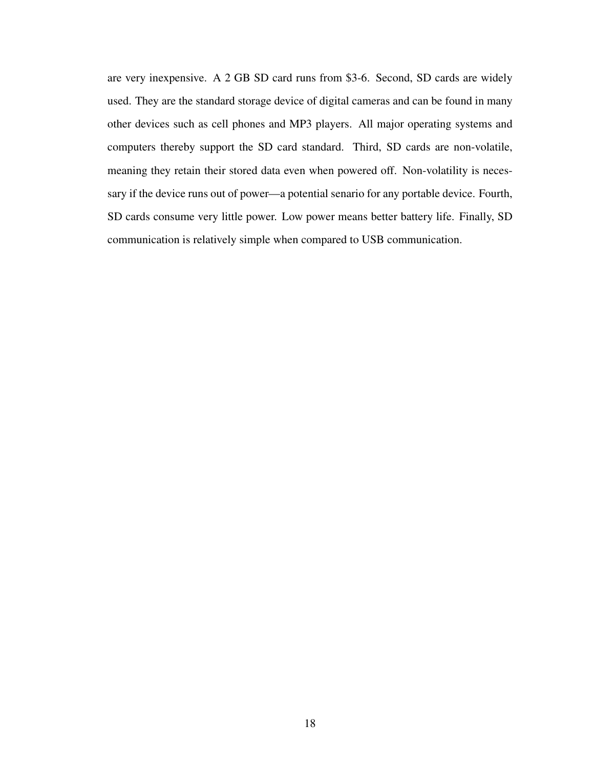are very inexpensive. A 2 GB SD card runs from \$3-6. Second, SD cards are widely used. They are the standard storage device of digital cameras and can be found in many other devices such as cell phones and MP3 players. All major operating systems and computers thereby support the SD card standard. Third, SD cards are non-volatile, meaning they retain their stored data even when powered off. Non-volatility is necessary if the device runs out of power—a potential senario for any portable device. Fourth, SD cards consume very little power. Low power means better battery life. Finally, SD communication is relatively simple when compared to USB communication.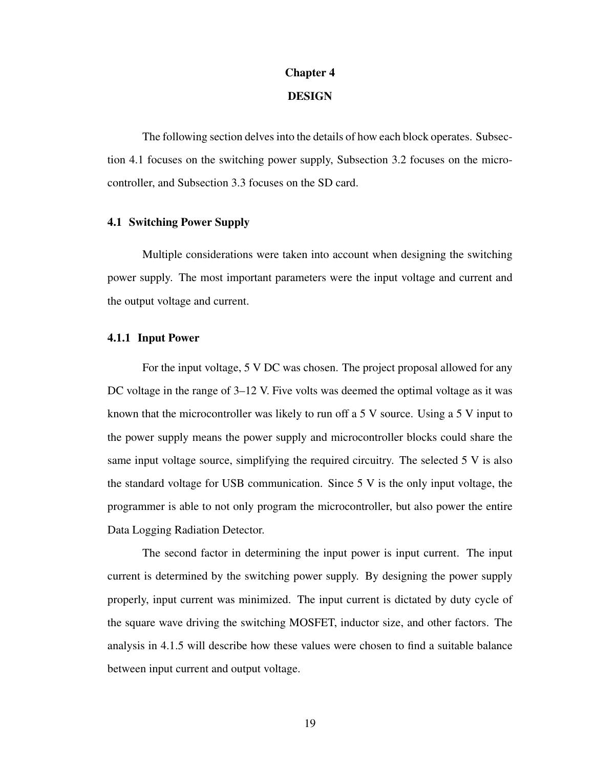#### Chapter 4

# DESIGN

<span id="page-27-0"></span>The following section delves into the details of how each block operates. Subsection [4.1](#page-27-1) focuses on the switching power supply, Subsection 3.2 focuses on the microcontroller, and Subsection 3.3 focuses on the SD card.

#### <span id="page-27-1"></span>4.1 Switching Power Supply

Multiple considerations were taken into account when designing the switching power supply. The most important parameters were the input voltage and current and the output voltage and current.

#### <span id="page-27-2"></span>4.1.1 Input Power

For the input voltage, 5 V DC was chosen. The project proposal allowed for any DC voltage in the range of 3–12 V. Five volts was deemed the optimal voltage as it was known that the microcontroller was likely to run off a 5 V source. Using a 5 V input to the power supply means the power supply and microcontroller blocks could share the same input voltage source, simplifying the required circuitry. The selected 5 V is also the standard voltage for USB communication. Since 5 V is the only input voltage, the programmer is able to not only program the microcontroller, but also power the entire Data Logging Radiation Detector.

The second factor in determining the input power is input current. The input current is determined by the switching power supply. By designing the power supply properly, input current was minimized. The input current is dictated by duty cycle of the square wave driving the switching MOSFET, inductor size, and other factors. The analysis in [4.1.5](#page-30-0) will describe how these values were chosen to find a suitable balance between input current and output voltage.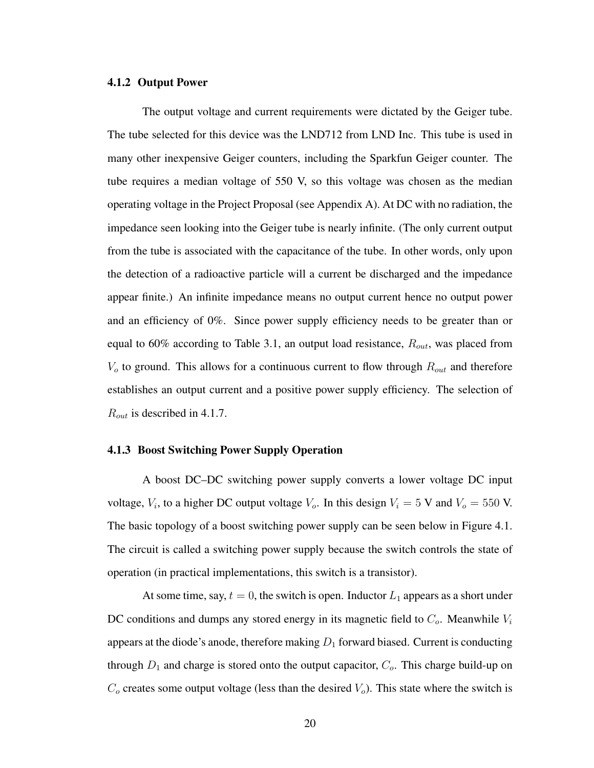#### <span id="page-28-0"></span>4.1.2 Output Power

The output voltage and current requirements were dictated by the Geiger tube. The tube selected for this device was the LND712 from LND Inc. This tube is used in many other inexpensive Geiger counters, including the Sparkfun Geiger counter. The tube requires a median voltage of 550 V, so this voltage was chosen as the median operating voltage in the Project Proposal (see Appendix [A\)](#page-49-0). At DC with no radiation, the impedance seen looking into the Geiger tube is nearly infinite. (The only current output from the tube is associated with the capacitance of the tube. In other words, only upon the detection of a radioactive particle will a current be discharged and the impedance appear finite.) An infinite impedance means no output current hence no output power and an efficiency of 0%. Since power supply efficiency needs to be greater than or equal to 60% according to Table [3.1,](#page-21-2) an output load resistance,  $R_{out}$ , was placed from  $V<sub>o</sub>$  to ground. This allows for a continuous current to flow through  $R<sub>out</sub>$  and therefore establishes an output current and a positive power supply efficiency. The selection of  $R_{out}$  is described in [4.1.7.](#page-32-0)

#### <span id="page-28-1"></span>4.1.3 Boost Switching Power Supply Operation

A boost DC–DC switching power supply converts a lower voltage DC input voltage,  $V_i$ , to a higher DC output voltage  $V_o$ . In this design  $V_i = 5$  V and  $V_o = 550$  V. The basic topology of a boost switching power supply can be seen below in Figure [4.1.](#page-29-1) The circuit is called a switching power supply because the switch controls the state of operation (in practical implementations, this switch is a transistor).

At some time, say,  $t = 0$ , the switch is open. Inductor  $L_1$  appears as a short under DC conditions and dumps any stored energy in its magnetic field to  $C<sub>o</sub>$ . Meanwhile  $V<sub>i</sub>$ appears at the diode's anode, therefore making  $D_1$  forward biased. Current is conducting through  $D_1$  and charge is stored onto the output capacitor,  $C_o$ . This charge build-up on  $C<sub>o</sub>$  creates some output voltage (less than the desired  $V<sub>o</sub>$ ). This state where the switch is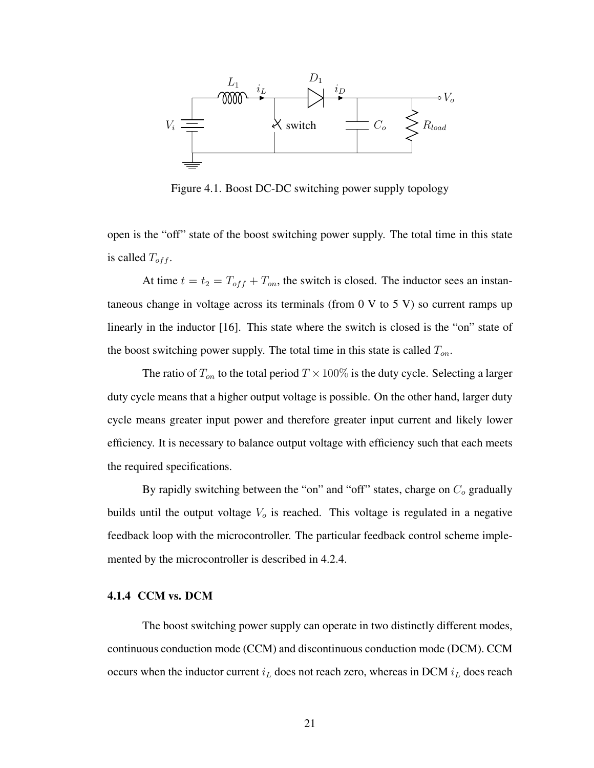

<span id="page-29-1"></span>Figure 4.1. Boost DC-DC switching power supply topology

open is the "off" state of the boost switching power supply. The total time in this state is called  $T_{off}$ .

At time  $t = t_2 = T_{off} + T_{on}$ , the switch is closed. The inductor sees an instantaneous change in voltage across its terminals (from  $0 \,$ V to  $5 \,$ V) so current ramps up linearly in the inductor [\[16\]](#page-48-4). This state where the switch is closed is the "on" state of the boost switching power supply. The total time in this state is called  $T_{on}$ .

The ratio of  $T_{on}$  to the total period  $T \times 100\%$  is the duty cycle. Selecting a larger duty cycle means that a higher output voltage is possible. On the other hand, larger duty cycle means greater input power and therefore greater input current and likely lower efficiency. It is necessary to balance output voltage with efficiency such that each meets the required specifications.

By rapidly switching between the "on" and "off" states, charge on  $C<sub>o</sub>$  gradually builds until the output voltage  $V<sub>o</sub>$  is reached. This voltage is regulated in a negative feedback loop with the microcontroller. The particular feedback control scheme implemented by the microcontroller is described in [4.2.4.](#page-37-0)

## <span id="page-29-0"></span>4.1.4 CCM vs. DCM

The boost switching power supply can operate in two distinctly different modes, continuous conduction mode (CCM) and discontinuous conduction mode (DCM). CCM occurs when the inductor current  $i_L$  does not reach zero, whereas in DCM  $i_L$  does reach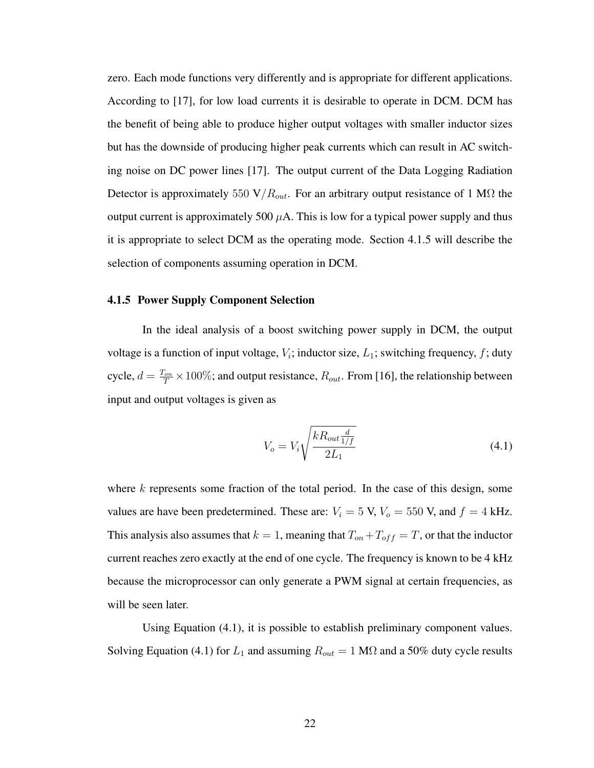zero. Each mode functions very differently and is appropriate for different applications. According to [\[17\]](#page-48-5), for low load currents it is desirable to operate in DCM. DCM has the benefit of being able to produce higher output voltages with smaller inductor sizes but has the downside of producing higher peak currents which can result in AC switching noise on DC power lines [\[17\]](#page-48-5). The output current of the Data Logging Radiation Detector is approximately 550 V/ $R_{out}$ . For an arbitrary output resistance of 1 M $\Omega$  the output current is approximately 500  $\mu$ A. This is low for a typical power supply and thus it is appropriate to select DCM as the operating mode. Section [4.1.5](#page-30-0) will describe the selection of components assuming operation in DCM.

#### <span id="page-30-0"></span>4.1.5 Power Supply Component Selection

In the ideal analysis of a boost switching power supply in DCM, the output voltage is a function of input voltage,  $V_i$ ; inductor size,  $L_1$ ; switching frequency, f; duty cycle,  $d = \frac{T_{on}}{T} \times 100\%$ ; and output resistance,  $R_{out}$ . From [\[16\]](#page-48-4), the relationship between input and output voltages is given as

<span id="page-30-1"></span>
$$
V_o = V_i \sqrt{\frac{k R_{out} \frac{d}{1/f}}{2L_1}}
$$
\n(4.1)

where  $k$  represents some fraction of the total period. In the case of this design, some values are have been predetermined. These are:  $V_i = 5$  V,  $V_o = 550$  V, and  $f = 4$  kHz. This analysis also assumes that  $k = 1$ , meaning that  $T_{on} + T_{off} = T$ , or that the inductor current reaches zero exactly at the end of one cycle. The frequency is known to be 4 kHz because the microprocessor can only generate a PWM signal at certain frequencies, as will be seen later.

Using Equation [\(4.1\)](#page-30-1), it is possible to establish preliminary component values. Solving Equation [\(4.1\)](#page-30-1) for  $L_1$  and assuming  $R_{out} = 1 \text{ M}\Omega$  and a 50% duty cycle results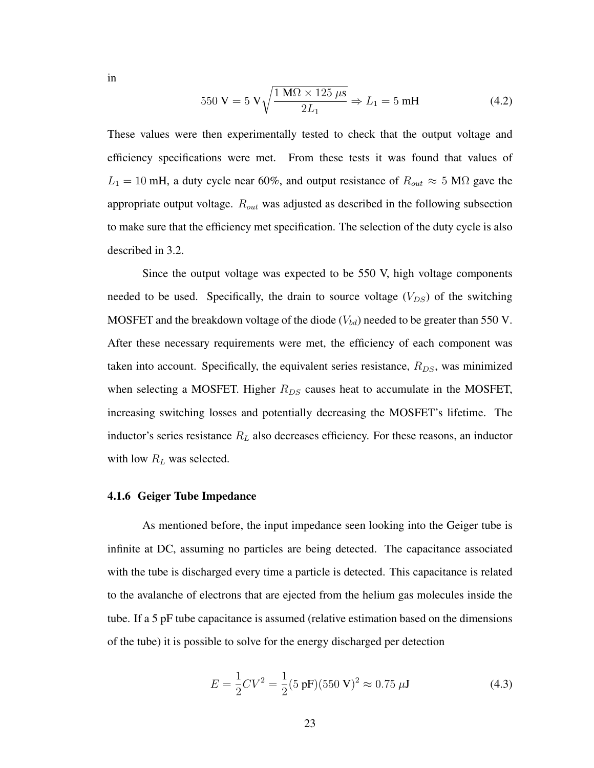in

$$
550 \text{ V} = 5 \text{ V} \sqrt{\frac{1 \text{ M}\Omega \times 125 \mu \text{s}}{2L_1}} \Rightarrow L_1 = 5 \text{ mH}
$$
 (4.2)

These values were then experimentally tested to check that the output voltage and efficiency specifications were met. From these tests it was found that values of  $L_1 = 10$  mH, a duty cycle near 60%, and output resistance of  $R_{out} \approx 5$  M $\Omega$  gave the appropriate output voltage.  $R_{out}$  was adjusted as described in the following subsection to make sure that the efficiency met specification. The selection of the duty cycle is also described in 3.2.

Since the output voltage was expected to be 550 V, high voltage components needed to be used. Specifically, the drain to source voltage  $(V_{DS})$  of the switching MOSFET and the breakdown voltage of the diode  $(V_{bd})$  needed to be greater than 550 V. After these necessary requirements were met, the efficiency of each component was taken into account. Specifically, the equivalent series resistance,  $R_{DS}$ , was minimized when selecting a MOSFET. Higher  $R_{DS}$  causes heat to accumulate in the MOSFET, increasing switching losses and potentially decreasing the MOSFET's lifetime. The inductor's series resistance  $R<sub>L</sub>$  also decreases efficiency. For these reasons, an inductor with low  $\mathcal{R}_L$  was selected.

#### <span id="page-31-0"></span>4.1.6 Geiger Tube Impedance

As mentioned before, the input impedance seen looking into the Geiger tube is infinite at DC, assuming no particles are being detected. The capacitance associated with the tube is discharged every time a particle is detected. This capacitance is related to the avalanche of electrons that are ejected from the helium gas molecules inside the tube. If a 5 pF tube capacitance is assumed (relative estimation based on the dimensions of the tube) it is possible to solve for the energy discharged per detection

$$
E = \frac{1}{2}CV^2 = \frac{1}{2}(5 \text{ pF})(550 \text{ V})^2 \approx 0.75 \text{ }\mu\text{J}
$$
 (4.3)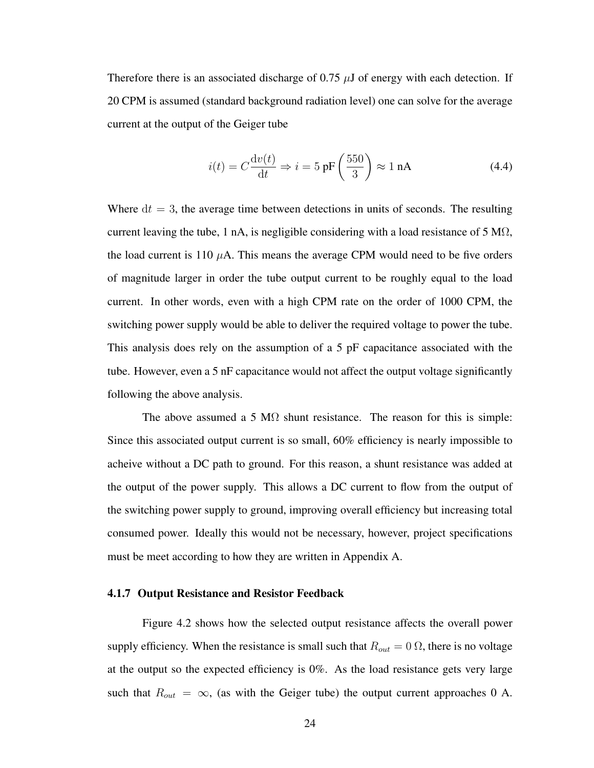Therefore there is an associated discharge of 0.75  $\mu$ J of energy with each detection. If 20 CPM is assumed (standard background radiation level) one can solve for the average current at the output of the Geiger tube

$$
i(t) = C \frac{\mathrm{d}v(t)}{\mathrm{d}t} \Rightarrow i = 5 \text{ pF}\left(\frac{550}{3}\right) \approx 1 \text{ nA}
$$
 (4.4)

Where  $dt = 3$ , the average time between detections in units of seconds. The resulting current leaving the tube, 1 nA, is negligible considering with a load resistance of 5 M $\Omega$ , the load current is 110  $\mu$ A. This means the average CPM would need to be five orders of magnitude larger in order the tube output current to be roughly equal to the load current. In other words, even with a high CPM rate on the order of 1000 CPM, the switching power supply would be able to deliver the required voltage to power the tube. This analysis does rely on the assumption of a 5 pF capacitance associated with the tube. However, even a 5 nF capacitance would not affect the output voltage significantly following the above analysis.

The above assumed a 5 M $\Omega$  shunt resistance. The reason for this is simple: Since this associated output current is so small, 60% efficiency is nearly impossible to acheive without a DC path to ground. For this reason, a shunt resistance was added at the output of the power supply. This allows a DC current to flow from the output of the switching power supply to ground, improving overall efficiency but increasing total consumed power. Ideally this would not be necessary, however, project specifications must be meet according to how they are written in Appendix [A.](#page-49-0)

#### <span id="page-32-0"></span>4.1.7 Output Resistance and Resistor Feedback

Figure [4.2](#page-33-0) shows how the selected output resistance affects the overall power supply efficiency. When the resistance is small such that  $R_{out} = 0 \Omega$ , there is no voltage at the output so the expected efficiency is 0%. As the load resistance gets very large such that  $R_{out} = \infty$ , (as with the Geiger tube) the output current approaches 0 A.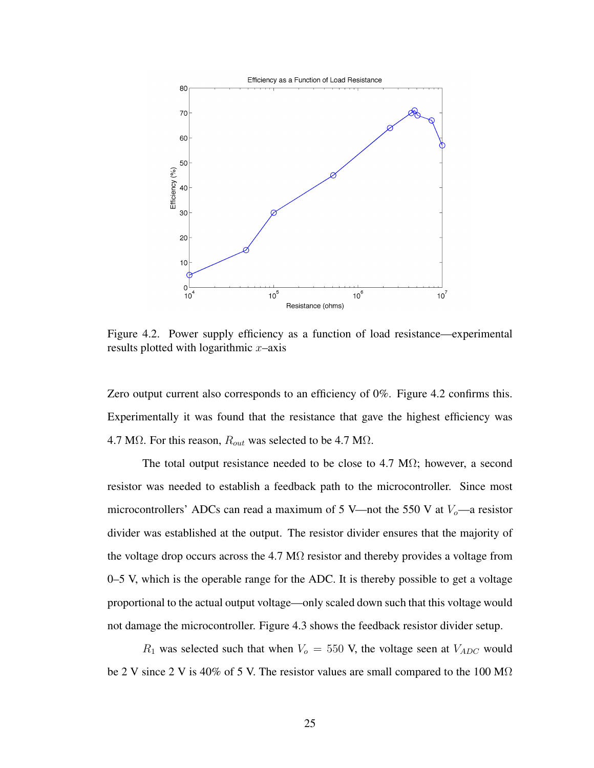

<span id="page-33-0"></span>Figure 4.2. Power supply efficiency as a function of load resistance—experimental results plotted with logarithmic  $x$ –axis

Zero output current also corresponds to an efficiency of 0%. Figure [4.2](#page-33-0) confirms this. Experimentally it was found that the resistance that gave the highest efficiency was 4.7 M $\Omega$ . For this reason,  $R_{out}$  was selected to be 4.7 M $\Omega$ .

The total output resistance needed to be close to 4.7 M $\Omega$ ; however, a second resistor was needed to establish a feedback path to the microcontroller. Since most microcontrollers' ADCs can read a maximum of 5 V—not the 550 V at  $V_0$ —a resistor divider was established at the output. The resistor divider ensures that the majority of the voltage drop occurs across the 4.7 M $\Omega$  resistor and thereby provides a voltage from 0–5 V, which is the operable range for the ADC. It is thereby possible to get a voltage proportional to the actual output voltage—only scaled down such that this voltage would not damage the microcontroller. Figure [4.3](#page-34-1) shows the feedback resistor divider setup.

 $R_1$  was selected such that when  $V_0 = 550$  V, the voltage seen at  $V_{ADC}$  would be 2 V since 2 V is 40% of 5 V. The resistor values are small compared to the 100 M $\Omega$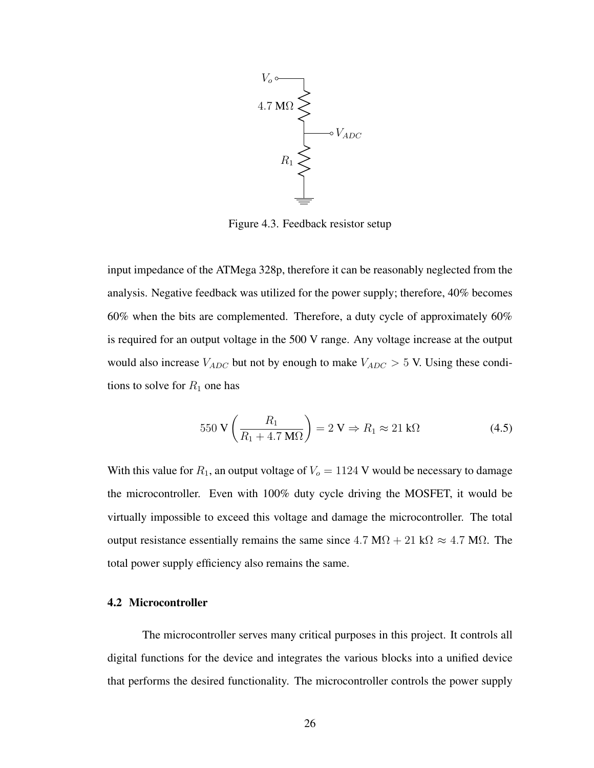

<span id="page-34-1"></span>Figure 4.3. Feedback resistor setup

input impedance of the ATMega 328p, therefore it can be reasonably neglected from the analysis. Negative feedback was utilized for the power supply; therefore, 40% becomes 60% when the bits are complemented. Therefore, a duty cycle of approximately 60% is required for an output voltage in the 500 V range. Any voltage increase at the output would also increase  $V_{ADC}$  but not by enough to make  $V_{ADC} > 5$  V. Using these conditions to solve for  $R_1$  one has

$$
550\,\mathrm{V}\left(\frac{R_1}{R_1 + 4.7\,\mathrm{M}\Omega}\right) = 2\,\mathrm{V} \Rightarrow R_1 \approx 21\,\mathrm{k}\Omega\tag{4.5}
$$

With this value for  $R_1$ , an output voltage of  $V_0 = 1124$  V would be necessary to damage the microcontroller. Even with 100% duty cycle driving the MOSFET, it would be virtually impossible to exceed this voltage and damage the microcontroller. The total output resistance essentially remains the same since  $4.7 \text{ M}\Omega + 21 \text{ k}\Omega \approx 4.7 \text{ M}\Omega$ . The total power supply efficiency also remains the same.

#### <span id="page-34-0"></span>4.2 Microcontroller

The microcontroller serves many critical purposes in this project. It controls all digital functions for the device and integrates the various blocks into a unified device that performs the desired functionality. The microcontroller controls the power supply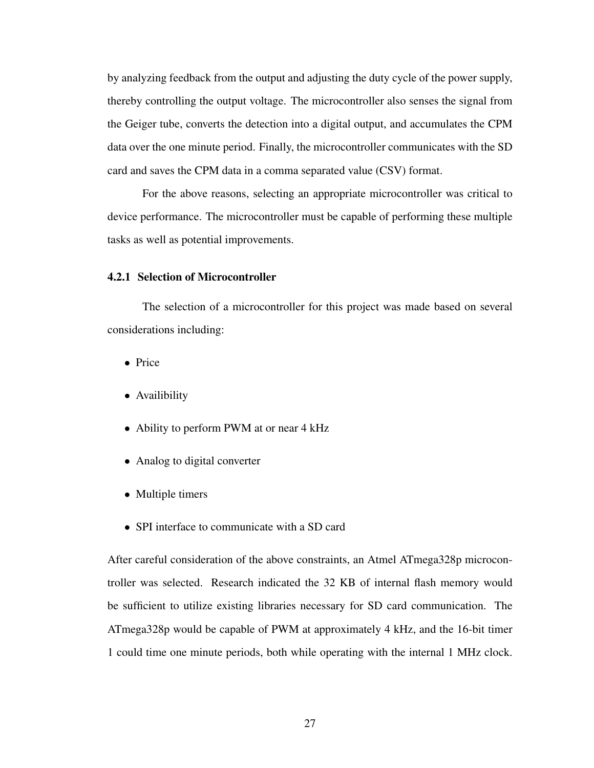by analyzing feedback from the output and adjusting the duty cycle of the power supply, thereby controlling the output voltage. The microcontroller also senses the signal from the Geiger tube, converts the detection into a digital output, and accumulates the CPM data over the one minute period. Finally, the microcontroller communicates with the SD card and saves the CPM data in a comma separated value (CSV) format.

For the above reasons, selecting an appropriate microcontroller was critical to device performance. The microcontroller must be capable of performing these multiple tasks as well as potential improvements.

## <span id="page-35-0"></span>4.2.1 Selection of Microcontroller

The selection of a microcontroller for this project was made based on several considerations including:

- Price
- Availibility
- Ability to perform PWM at or near 4 kHz
- Analog to digital converter
- Multiple timers
- SPI interface to communicate with a SD card

After careful consideration of the above constraints, an Atmel ATmega328p microcontroller was selected. Research indicated the 32 KB of internal flash memory would be sufficient to utilize existing libraries necessary for SD card communication. The ATmega328p would be capable of PWM at approximately 4 kHz, and the 16-bit timer 1 could time one minute periods, both while operating with the internal 1 MHz clock.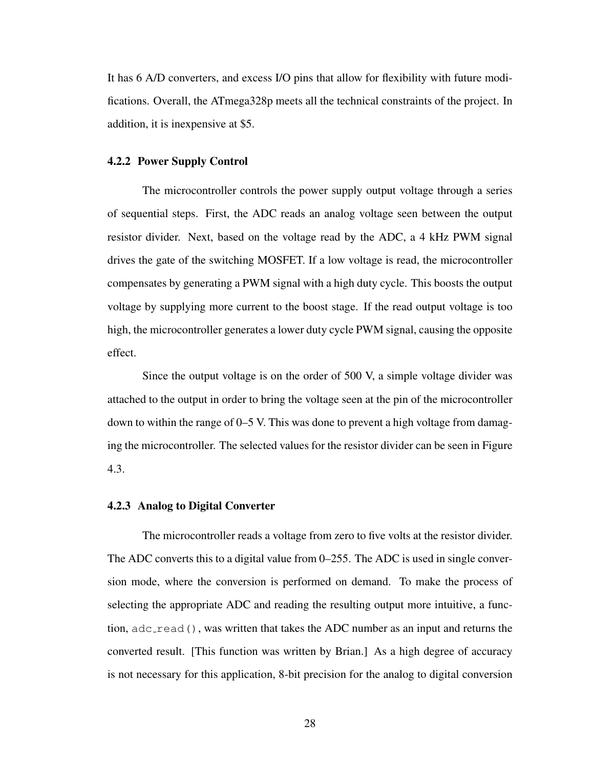It has 6 A/D converters, and excess I/O pins that allow for flexibility with future modifications. Overall, the ATmega328p meets all the technical constraints of the project. In addition, it is inexpensive at \$5.

#### <span id="page-36-0"></span>4.2.2 Power Supply Control

The microcontroller controls the power supply output voltage through a series of sequential steps. First, the ADC reads an analog voltage seen between the output resistor divider. Next, based on the voltage read by the ADC, a 4 kHz PWM signal drives the gate of the switching MOSFET. If a low voltage is read, the microcontroller compensates by generating a PWM signal with a high duty cycle. This boosts the output voltage by supplying more current to the boost stage. If the read output voltage is too high, the microcontroller generates a lower duty cycle PWM signal, causing the opposite effect.

Since the output voltage is on the order of 500 V, a simple voltage divider was attached to the output in order to bring the voltage seen at the pin of the microcontroller down to within the range of 0–5 V. This was done to prevent a high voltage from damaging the microcontroller. The selected values for the resistor divider can be seen in Figure [4.3.](#page-34-1)

#### <span id="page-36-1"></span>4.2.3 Analog to Digital Converter

The microcontroller reads a voltage from zero to five volts at the resistor divider. The ADC converts this to a digital value from 0–255. The ADC is used in single conversion mode, where the conversion is performed on demand. To make the process of selecting the appropriate ADC and reading the resulting output more intuitive, a function,  $adc<sub>-</sub>read()$ , was written that takes the ADC number as an input and returns the converted result. [This function was written by Brian.] As a high degree of accuracy is not necessary for this application, 8-bit precision for the analog to digital conversion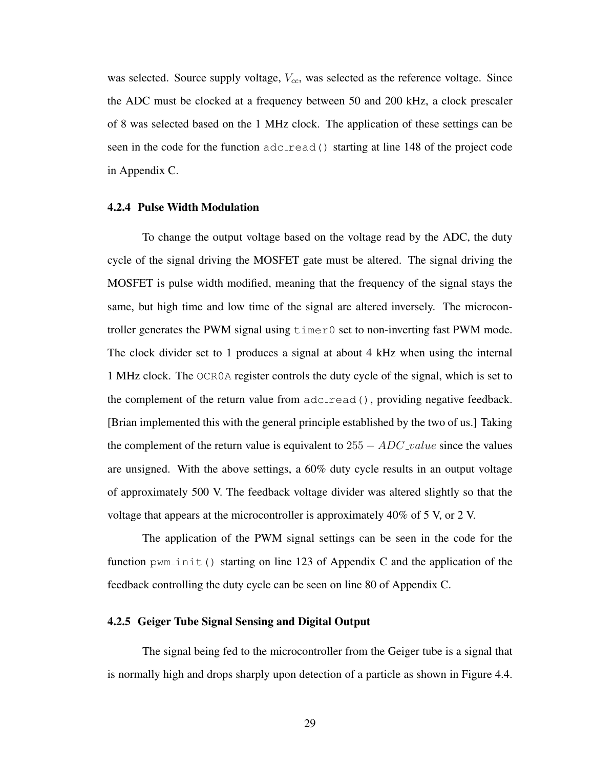was selected. Source supply voltage,  $V_{cc}$ , was selected as the reference voltage. Since the ADC must be clocked at a frequency between 50 and 200 kHz, a clock prescaler of 8 was selected based on the 1 MHz clock. The application of these settings can be seen in the code for the function  $adc$  read() starting at line 148 of the project code in Appendix [C.](#page-52-0)

#### <span id="page-37-0"></span>4.2.4 Pulse Width Modulation

To change the output voltage based on the voltage read by the ADC, the duty cycle of the signal driving the MOSFET gate must be altered. The signal driving the MOSFET is pulse width modified, meaning that the frequency of the signal stays the same, but high time and low time of the signal are altered inversely. The microcontroller generates the PWM signal using timer0 set to non-inverting fast PWM mode. The clock divider set to 1 produces a signal at about 4 kHz when using the internal 1 MHz clock. The OCR0A register controls the duty cycle of the signal, which is set to the complement of the return value from  $adc$ <sub>read</sub>(), providing negative feedback. [Brian implemented this with the general principle established by the two of us.] Taking the complement of the return value is equivalent to  $255 - ADC\_value$  since the values are unsigned. With the above settings, a 60% duty cycle results in an output voltage of approximately 500 V. The feedback voltage divider was altered slightly so that the voltage that appears at the microcontroller is approximately 40% of 5 V, or 2 V.

The application of the PWM signal settings can be seen in the code for the function  $pwm\_init$  () starting on line 123 of Appendix [C](#page-52-0) and the application of the feedback controlling the duty cycle can be seen on line 80 of Appendix [C.](#page-52-0)

#### <span id="page-37-1"></span>4.2.5 Geiger Tube Signal Sensing and Digital Output

The signal being fed to the microcontroller from the Geiger tube is a signal that is normally high and drops sharply upon detection of a particle as shown in Figure [4.4.](#page-38-0)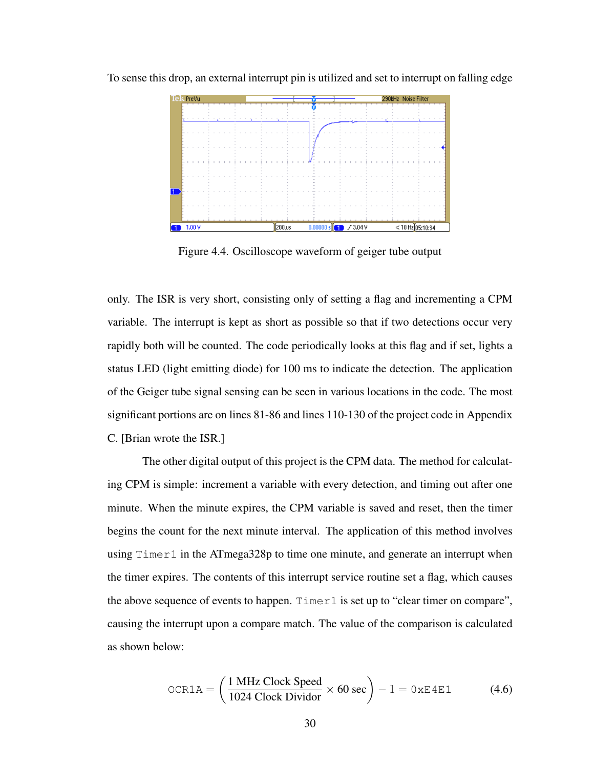

To sense this drop, an external interrupt pin is utilized and set to interrupt on falling edge

<span id="page-38-0"></span>Figure 4.4. Oscilloscope waveform of geiger tube output

only. The ISR is very short, consisting only of setting a flag and incrementing a CPM variable. The interrupt is kept as short as possible so that if two detections occur very rapidly both will be counted. The code periodically looks at this flag and if set, lights a status LED (light emitting diode) for 100 ms to indicate the detection. The application of the Geiger tube signal sensing can be seen in various locations in the code. The most significant portions are on lines 81-86 and lines 110-130 of the project code in Appendix [C.](#page-52-0) [Brian wrote the ISR.]

The other digital output of this project is the CPM data. The method for calculating CPM is simple: increment a variable with every detection, and timing out after one minute. When the minute expires, the CPM variable is saved and reset, then the timer begins the count for the next minute interval. The application of this method involves using Timer1 in the ATmega328p to time one minute, and generate an interrupt when the timer expires. The contents of this interrupt service routine set a flag, which causes the above sequence of events to happen. Timer1 is set up to "clear timer on compare", causing the interrupt upon a compare match. The value of the comparison is calculated as shown below:

$$
OCR1A = \left(\frac{1 \text{ MHz Clock Speed}}{1024 \text{ Clock Dividor}} \times 60 \text{ sec}\right) - 1 = 0 \times E4E1
$$
 (4.6)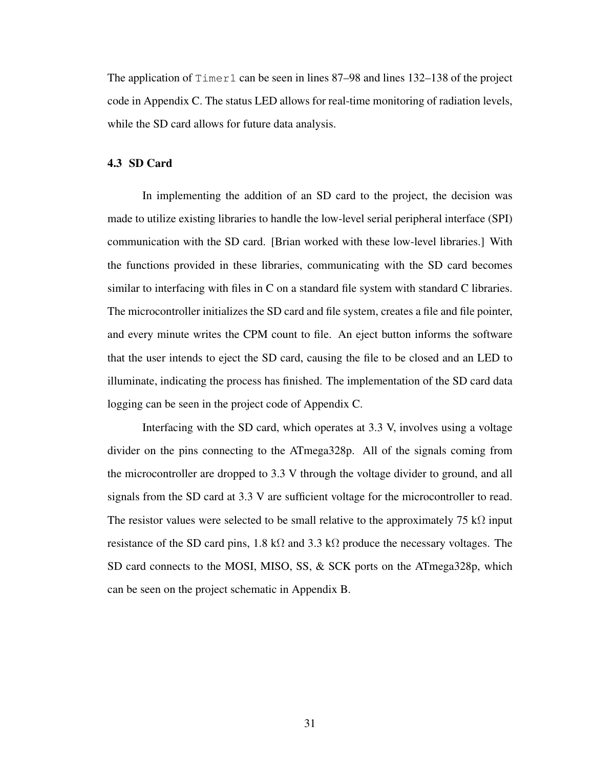The application of  $\tt Timer1$  can be seen in lines 87–98 and lines 132–138 of the project code in Appendix [C.](#page-52-0) The status LED allows for real-time monitoring of radiation levels, while the SD card allows for future data analysis.

#### <span id="page-39-0"></span>4.3 SD Card

In implementing the addition of an SD card to the project, the decision was made to utilize existing libraries to handle the low-level serial peripheral interface (SPI) communication with the SD card. [Brian worked with these low-level libraries.] With the functions provided in these libraries, communicating with the SD card becomes similar to interfacing with files in C on a standard file system with standard C libraries. The microcontroller initializes the SD card and file system, creates a file and file pointer, and every minute writes the CPM count to file. An eject button informs the software that the user intends to eject the SD card, causing the file to be closed and an LED to illuminate, indicating the process has finished. The implementation of the SD card data logging can be seen in the project code of Appendix [C.](#page-52-0)

Interfacing with the SD card, which operates at 3.3 V, involves using a voltage divider on the pins connecting to the ATmega328p. All of the signals coming from the microcontroller are dropped to 3.3 V through the voltage divider to ground, and all signals from the SD card at 3.3 V are sufficient voltage for the microcontroller to read. The resistor values were selected to be small relative to the approximately 75 kΩ input resistance of the SD card pins, 1.8 kΩ and 3.3 kΩ produce the necessary voltages. The SD card connects to the MOSI, MISO, SS, & SCK ports on the ATmega328p, which can be seen on the project schematic in Appendix [B.](#page-50-0)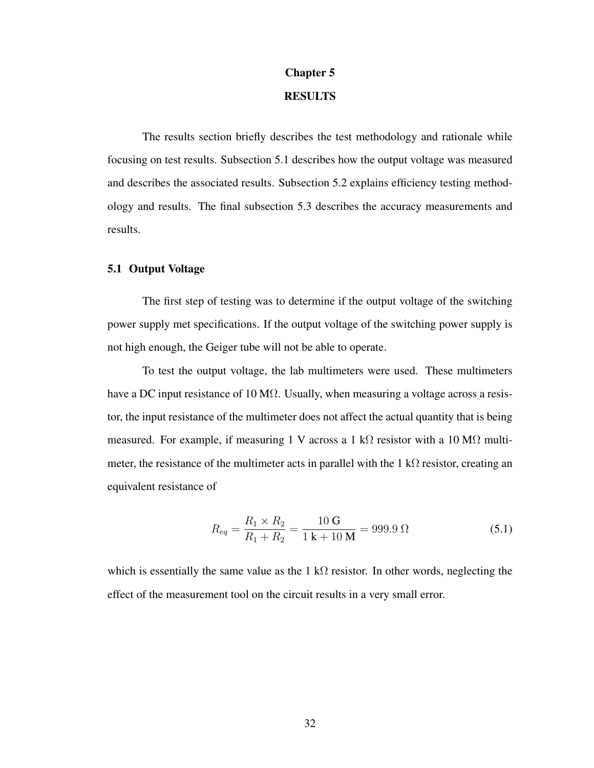# Chapter 5

# RESULTS

<span id="page-40-0"></span>The results section briefly describes the test methodology and rationale while focusing on test results. Subsection [5.1](#page-40-1) describes how the output voltage was measured and describes the associated results. Subsection [5.2](#page-41-0) explains efficiency testing methodology and results. The final subsection [5.3](#page-42-0) describes the accuracy measurements and results.

#### <span id="page-40-1"></span>5.1 Output Voltage

The first step of testing was to determine if the output voltage of the switching power supply met specifications. If the output voltage of the switching power supply is not high enough, the Geiger tube will not be able to operate.

To test the output voltage, the lab multimeters were used. These multimeters have a DC input resistance of 10 M $\Omega$ . Usually, when measuring a voltage across a resistor, the input resistance of the multimeter does not affect the actual quantity that is being measured. For example, if measuring 1 V across a 1 kΩ resistor with a 10 MΩ multimeter, the resistance of the multimeter acts in parallel with the 1 kΩ resistor, creating an equivalent resistance of

$$
R_{eq} = \frac{R_1 \times R_2}{R_1 + R_2} = \frac{10 \text{ G}}{1 \text{ k} + 10 \text{ M}} = 999.9 \text{ }\Omega
$$
\n(5.1)

which is essentially the same value as the 1 kΩ resistor. In other words, neglecting the effect of the measurement tool on the circuit results in a very small error.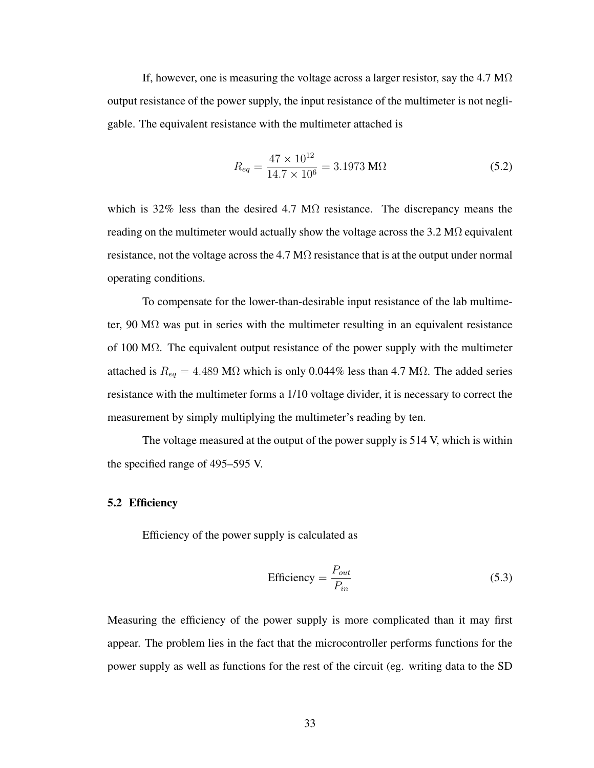If, however, one is measuring the voltage across a larger resistor, say the 4.7 M $\Omega$ output resistance of the power supply, the input resistance of the multimeter is not negligable. The equivalent resistance with the multimeter attached is

$$
R_{eq} = \frac{47 \times 10^{12}}{14.7 \times 10^6} = 3.1973 \text{ M}\Omega
$$
 (5.2)

which is 32% less than the desired 4.7 M $\Omega$  resistance. The discrepancy means the reading on the multimeter would actually show the voltage across the  $3.2 M\Omega$  equivalent resistance, not the voltage across the  $4.7 \text{ M}\Omega$  resistance that is at the output under normal operating conditions.

To compensate for the lower-than-desirable input resistance of the lab multimeter, 90 M $\Omega$  was put in series with the multimeter resulting in an equivalent resistance of 100 M $\Omega$ . The equivalent output resistance of the power supply with the multimeter attached is  $R_{eq} = 4.489 \text{ M}\Omega$  which is only 0.044% less than 4.7 M $\Omega$ . The added series resistance with the multimeter forms a 1/10 voltage divider, it is necessary to correct the measurement by simply multiplying the multimeter's reading by ten.

The voltage measured at the output of the power supply is 514 V, which is within the specified range of 495–595 V.

#### <span id="page-41-0"></span>5.2 Efficiency

Efficiency of the power supply is calculated as

Efficiency = 
$$
\frac{P_{out}}{P_{in}}
$$
 (5.3)

Measuring the efficiency of the power supply is more complicated than it may first appear. The problem lies in the fact that the microcontroller performs functions for the power supply as well as functions for the rest of the circuit (eg. writing data to the SD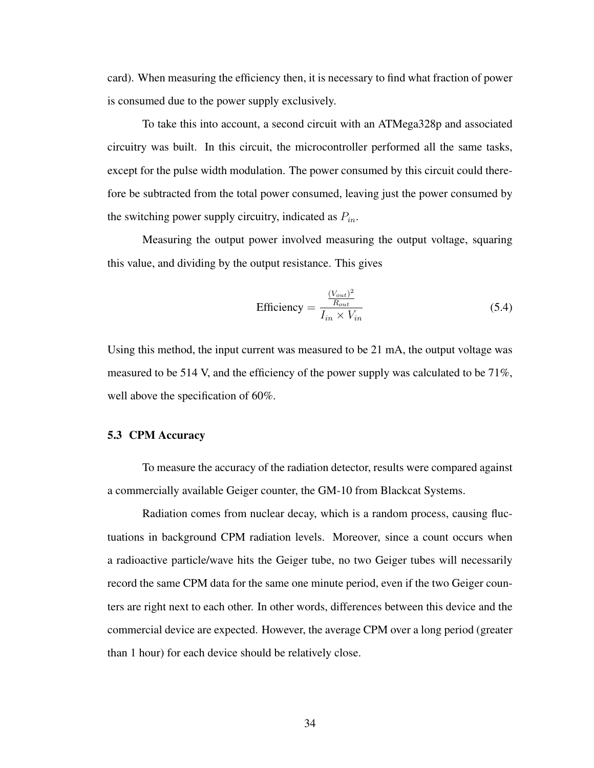card). When measuring the efficiency then, it is necessary to find what fraction of power is consumed due to the power supply exclusively.

To take this into account, a second circuit with an ATMega328p and associated circuitry was built. In this circuit, the microcontroller performed all the same tasks, except for the pulse width modulation. The power consumed by this circuit could therefore be subtracted from the total power consumed, leaving just the power consumed by the switching power supply circuitry, indicated as  $P_{in}$ .

Measuring the output power involved measuring the output voltage, squaring this value, and dividing by the output resistance. This gives

$$
\text{Efficiency} = \frac{\frac{(V_{out})^2}{R_{out}}}{I_{in} \times V_{in}} \tag{5.4}
$$

Using this method, the input current was measured to be 21 mA, the output voltage was measured to be 514 V, and the efficiency of the power supply was calculated to be  $71\%$ , well above the specification of 60%.

#### <span id="page-42-0"></span>5.3 CPM Accuracy

To measure the accuracy of the radiation detector, results were compared against a commercially available Geiger counter, the GM-10 from Blackcat Systems.

Radiation comes from nuclear decay, which is a random process, causing fluctuations in background CPM radiation levels. Moreover, since a count occurs when a radioactive particle/wave hits the Geiger tube, no two Geiger tubes will necessarily record the same CPM data for the same one minute period, even if the two Geiger counters are right next to each other. In other words, differences between this device and the commercial device are expected. However, the average CPM over a long period (greater than 1 hour) for each device should be relatively close.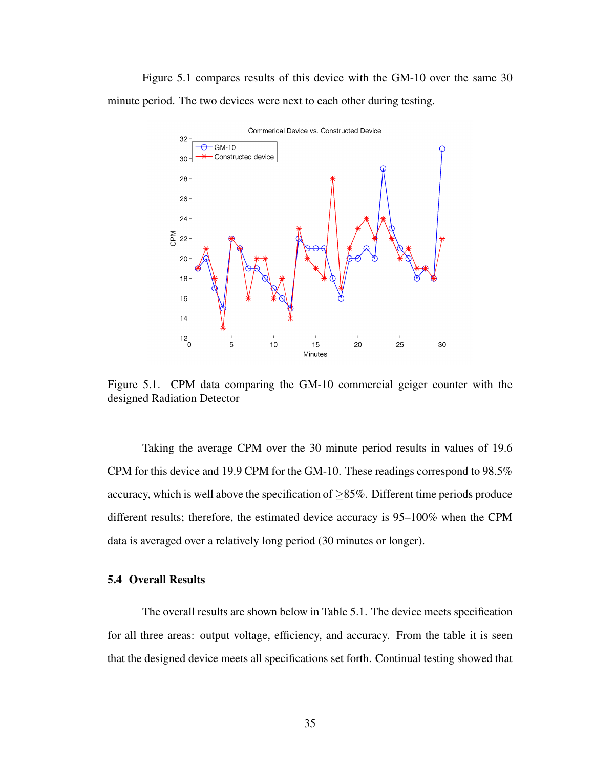Figure [5.1](#page-43-1) compares results of this device with the GM-10 over the same 30 minute period. The two devices were next to each other during testing.



<span id="page-43-1"></span>Figure 5.1. CPM data comparing the GM-10 commercial geiger counter with the designed Radiation Detector

Taking the average CPM over the 30 minute period results in values of 19.6 CPM for this device and 19.9 CPM for the GM-10. These readings correspond to 98.5% accuracy, which is well above the specification of  $\geq$ 85%. Different time periods produce different results; therefore, the estimated device accuracy is 95–100% when the CPM data is averaged over a relatively long period (30 minutes or longer).

# <span id="page-43-0"></span>5.4 Overall Results

The overall results are shown below in Table [5.1.](#page-44-0) The device meets specification for all three areas: output voltage, efficiency, and accuracy. From the table it is seen that the designed device meets all specifications set forth. Continual testing showed that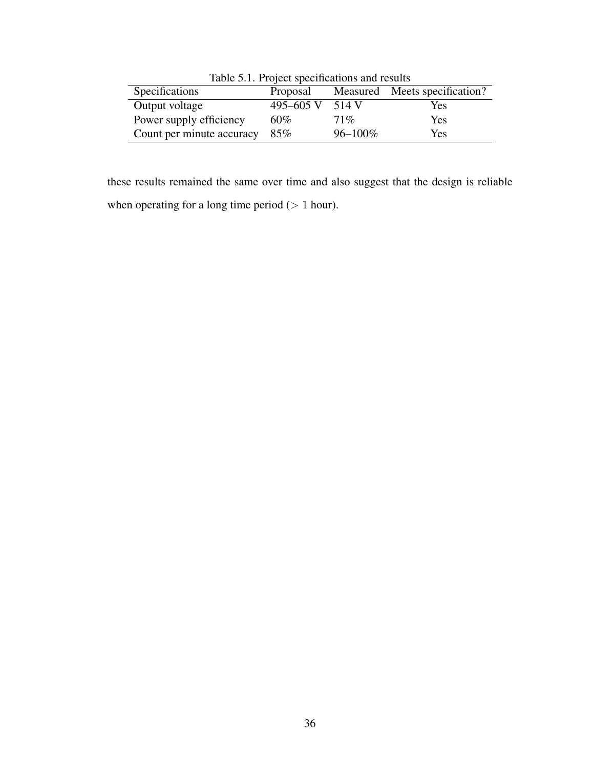| Table 5.1. Project specifications and results |              |              |                               |
|-----------------------------------------------|--------------|--------------|-------------------------------|
| Specifications                                | Proposal     |              | Measured Meets specification? |
| Output voltage                                | 495 $-605$ V | 514 V        | Yes                           |
| Power supply efficiency                       | $60\%$       | 71%          | Yes                           |
| Count per minute accuracy                     | 85%          | $96 - 100\%$ | Yes                           |

<span id="page-44-0"></span>Table 5.1. Project specifications and results

these results remained the same over time and also suggest that the design is reliable when operating for a long time period  $(> 1$  hour).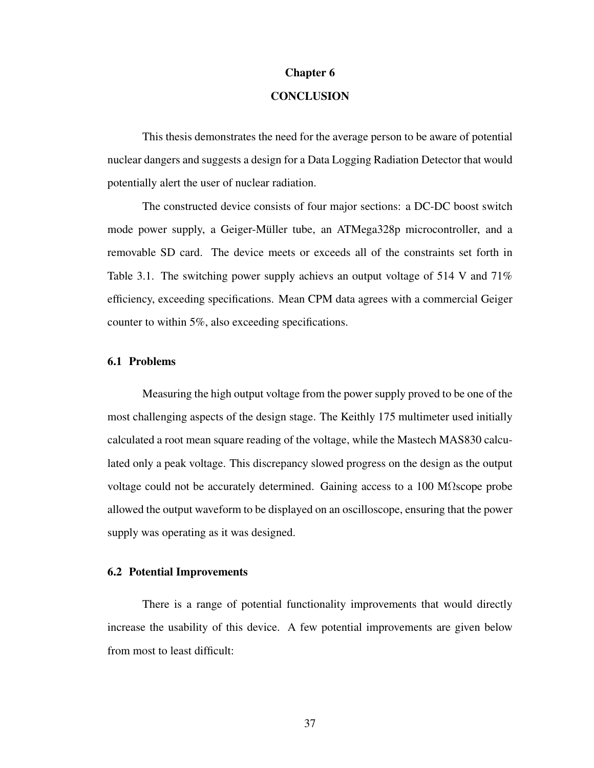#### Chapter 6

# **CONCLUSION**

<span id="page-45-0"></span>This thesis demonstrates the need for the average person to be aware of potential nuclear dangers and suggests a design for a Data Logging Radiation Detector that would potentially alert the user of nuclear radiation.

The constructed device consists of four major sections: a DC-DC boost switch mode power supply, a Geiger-Müller tube, an ATMega328p microcontroller, and a removable SD card. The device meets or exceeds all of the constraints set forth in Table [3.1.](#page-21-2) The switching power supply achievs an output voltage of 514 V and 71% efficiency, exceeding specifications. Mean CPM data agrees with a commercial Geiger counter to within 5%, also exceeding specifications.

#### <span id="page-45-1"></span>6.1 Problems

Measuring the high output voltage from the power supply proved to be one of the most challenging aspects of the design stage. The Keithly 175 multimeter used initially calculated a root mean square reading of the voltage, while the Mastech MAS830 calculated only a peak voltage. This discrepancy slowed progress on the design as the output voltage could not be accurately determined. Gaining access to a 100 M $\Omega$ scope probe allowed the output waveform to be displayed on an oscilloscope, ensuring that the power supply was operating as it was designed.

#### <span id="page-45-2"></span>6.2 Potential Improvements

There is a range of potential functionality improvements that would directly increase the usability of this device. A few potential improvements are given below from most to least difficult: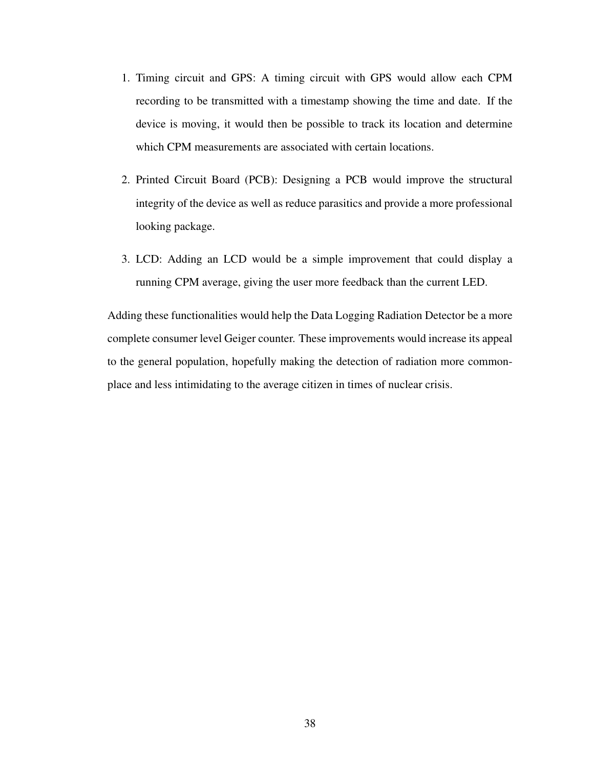- 1. Timing circuit and GPS: A timing circuit with GPS would allow each CPM recording to be transmitted with a timestamp showing the time and date. If the device is moving, it would then be possible to track its location and determine which CPM measurements are associated with certain locations.
- 2. Printed Circuit Board (PCB): Designing a PCB would improve the structural integrity of the device as well as reduce parasitics and provide a more professional looking package.
- 3. LCD: Adding an LCD would be a simple improvement that could display a running CPM average, giving the user more feedback than the current LED.

Adding these functionalities would help the Data Logging Radiation Detector be a more complete consumer level Geiger counter. These improvements would increase its appeal to the general population, hopefully making the detection of radiation more commonplace and less intimidating to the average citizen in times of nuclear crisis.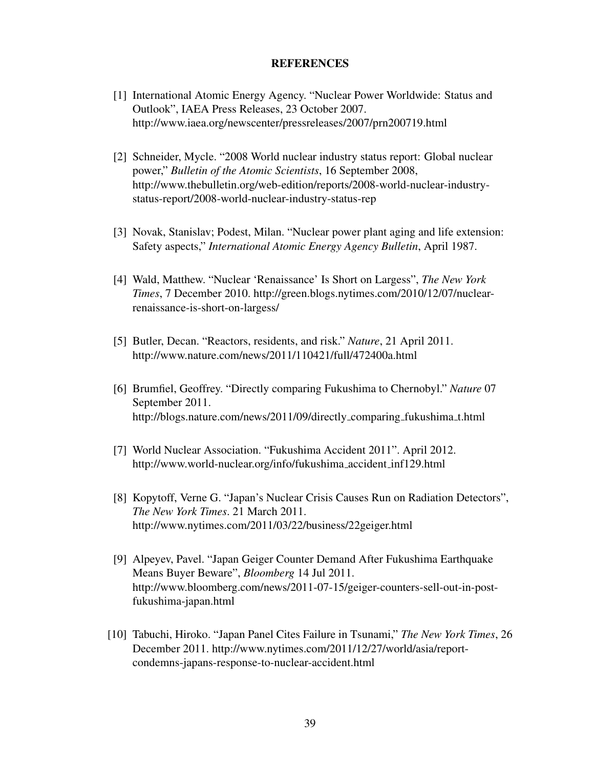## **REFERENCES**

- <span id="page-47-1"></span><span id="page-47-0"></span>[1] International Atomic Energy Agency. "Nuclear Power Worldwide: Status and Outlook", IAEA Press Releases, 23 October 2007. <http://www.iaea.org/newscenter/pressreleases/2007/prn200719.html>
- <span id="page-47-2"></span>[2] Schneider, Mycle. "2008 World nuclear industry status report: Global nuclear power," *Bulletin of the Atomic Scientists*, 16 September 2008, [http://www.thebulletin.org/web-edition/reports/2008-world-nuclear-industry](http://www.thebulletin.org/web-edition/reports/2008-world-nuclear-industry-status-report/2008-world-nuclear-industry-status-rep)[status-report/2008-world-nuclear-industry-status-rep](http://www.thebulletin.org/web-edition/reports/2008-world-nuclear-industry-status-report/2008-world-nuclear-industry-status-rep)
- <span id="page-47-3"></span>[3] Novak, Stanislav; Podest, Milan. "Nuclear power plant aging and life extension: Safety aspects," *International Atomic Energy Agency Bulletin*, April 1987.
- <span id="page-47-4"></span>[4] Wald, Matthew. "Nuclear 'Renaissance' Is Short on Largess", *The New York Times*, 7 December 2010. [http://green.blogs.nytimes.com/2010/12/07/nuclear](http://green.blogs.nytimes.com/2010/12/07/nuclear-renaissance-is-short-on-largess/)[renaissance-is-short-on-largess/](http://green.blogs.nytimes.com/2010/12/07/nuclear-renaissance-is-short-on-largess/)
- <span id="page-47-5"></span>[5] Butler, Decan. "Reactors, residents, and risk." *Nature*, 21 April 2011. <http://www.nature.com/news/2011/110421/full/472400a.html>
- <span id="page-47-6"></span>[6] Brumfiel, Geoffrey. "Directly comparing Fukushima to Chernobyl." *Nature* 07 September 2011. [http://blogs.nature.com/news/2011/09/directly](http://blogs.nature.com/news/2011/09/directly_comparing_fukushima_t.html)\_comparing\_fukushima\_t.html
- <span id="page-47-9"></span>[7] World Nuclear Association. "Fukushima Accident 2011". April 2012. [http://www.world-nuclear.org/info/fukushima](http://www.world-nuclear.org/info/fukushima_accident_inf129.html) accident inf129.html
- <span id="page-47-7"></span>[8] Kopytoff, Verne G. "Japan's Nuclear Crisis Causes Run on Radiation Detectors", *The New York Times*. 21 March 2011. <http://www.nytimes.com/2011/03/22/business/22geiger.html>
- <span id="page-47-8"></span>[9] Alpeyev, Pavel. "Japan Geiger Counter Demand After Fukushima Earthquake Means Buyer Beware", *Bloomberg* 14 Jul 2011. [http://www.bloomberg.com/news/2011-07-15/geiger-counters-sell-out-in-post](http://www.bloomberg.com/news/2011-07-15/geiger-counters-sell-out-in-post-fukushima-japan.html)[fukushima-japan.html](http://www.bloomberg.com/news/2011-07-15/geiger-counters-sell-out-in-post-fukushima-japan.html)
- <span id="page-47-10"></span>[10] Tabuchi, Hiroko. "Japan Panel Cites Failure in Tsunami," *The New York Times*, 26 December 2011. [http://www.nytimes.com/2011/12/27/world/asia/report](http://www.nytimes.com/2011/12/27/world/asia/report-condemns-japans-response-to-nuclear-accident.html)[condemns-japans-response-to-nuclear-accident.html](http://www.nytimes.com/2011/12/27/world/asia/report-condemns-japans-response-to-nuclear-accident.html)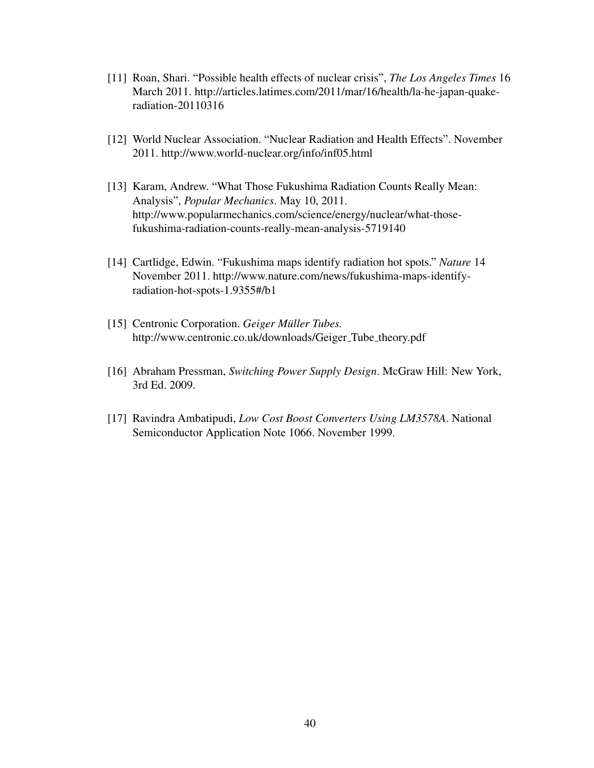- <span id="page-48-0"></span>[11] Roan, Shari. "Possible health effects of nuclear crisis", *The Los Angeles Times* 16 March 2011. [http://articles.latimes.com/2011/mar/16/health/la-he-japan-quake](http://articles.latimes.com/2011/mar/16/health/la-he-japan-quake-radiation-20110316)[radiation-20110316](http://articles.latimes.com/2011/mar/16/health/la-he-japan-quake-radiation-20110316)
- <span id="page-48-1"></span>[12] World Nuclear Association. "Nuclear Radiation and Health Effects". November 2011. <http://www.world-nuclear.org/info/inf05.html>
- <span id="page-48-2"></span>[13] Karam, Andrew. "What Those Fukushima Radiation Counts Really Mean: Analysis", *Popular Mechanics*. May 10, 2011. [http://www.popularmechanics.com/science/energy/nuclear/what-those](http://www.popularmechanics.com/science/energy/nuclear/what-those-fukushima-radiation-counts-really-mean-analysis-5719140)[fukushima-radiation-counts-really-mean-analysis-5719140](http://www.popularmechanics.com/science/energy/nuclear/what-those-fukushima-radiation-counts-really-mean-analysis-5719140)
- [14] Cartlidge, Edwin. "Fukushima maps identify radiation hot spots." *Nature* 14 November 2011. [http://www.nature.com/news/fukushima-maps-identify](http://www.nature.com/news/fukushima-maps-identify-radiation-hot-spots-1.9355#/b1)[radiation-hot-spots-1.9355#/b1](http://www.nature.com/news/fukushima-maps-identify-radiation-hot-spots-1.9355#/b1)
- <span id="page-48-3"></span>[15] Centronic Corporation. *Geiger Müller Tubes.* [http://www.centronic.co.uk/downloads/Geiger](http://www.centronic.co.uk/downloads/Geiger_Tube_theory.pdf)\_Tube\_theory.pdf
- <span id="page-48-4"></span>[16] Abraham Pressman, *Switching Power Supply Design*. McGraw Hill: New York, 3rd Ed. 2009.
- <span id="page-48-5"></span>[17] Ravindra Ambatipudi, *Low Cost Boost Converters Using LM3578A*. National Semiconductor Application Note 1066. November 1999.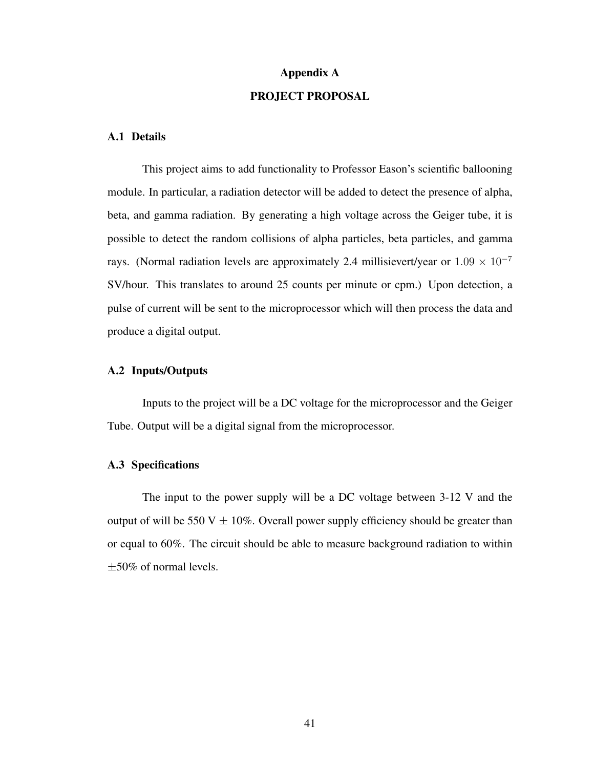# Appendix A PROJECT PROPOSAL

## <span id="page-49-0"></span>A.1 Details

This project aims to add functionality to Professor Eason's scientific ballooning module. In particular, a radiation detector will be added to detect the presence of alpha, beta, and gamma radiation. By generating a high voltage across the Geiger tube, it is possible to detect the random collisions of alpha particles, beta particles, and gamma rays. (Normal radiation levels are approximately 2.4 millisievert/year or  $1.09 \times 10^{-7}$ SV/hour. This translates to around 25 counts per minute or cpm.) Upon detection, a pulse of current will be sent to the microprocessor which will then process the data and produce a digital output.

## A.2 Inputs/Outputs

Inputs to the project will be a DC voltage for the microprocessor and the Geiger Tube. Output will be a digital signal from the microprocessor.

#### A.3 Specifications

The input to the power supply will be a DC voltage between 3-12 V and the output of will be 550 V  $\pm$  10%. Overall power supply efficiency should be greater than or equal to 60%. The circuit should be able to measure background radiation to within  $\pm 50\%$  of normal levels.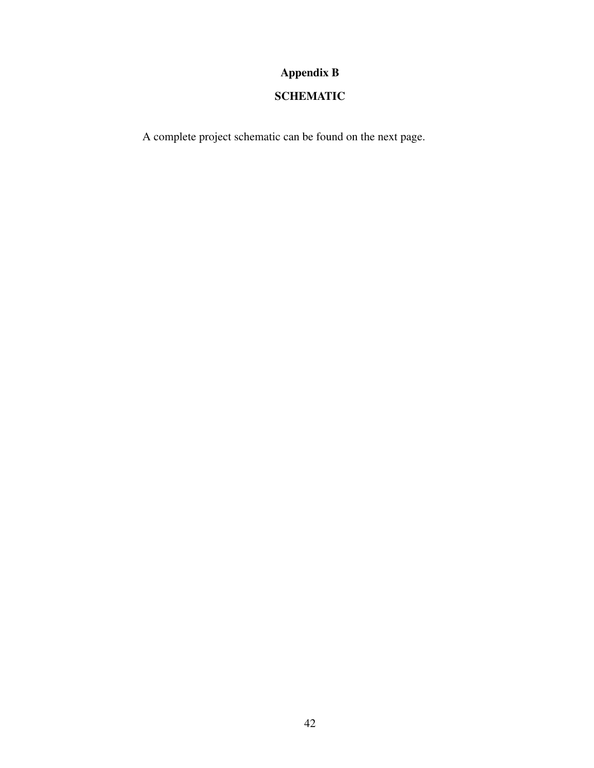# Appendix B

# SCHEMATIC

<span id="page-50-0"></span>A complete project schematic can be found on the next page.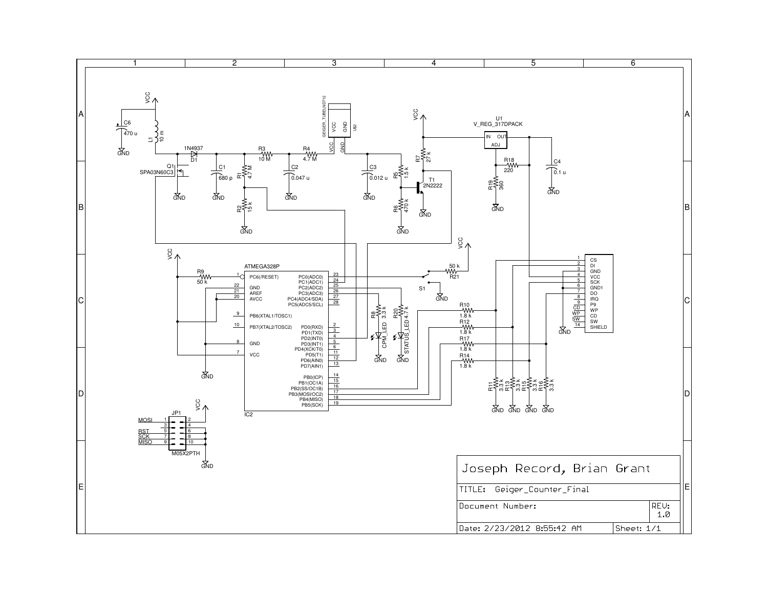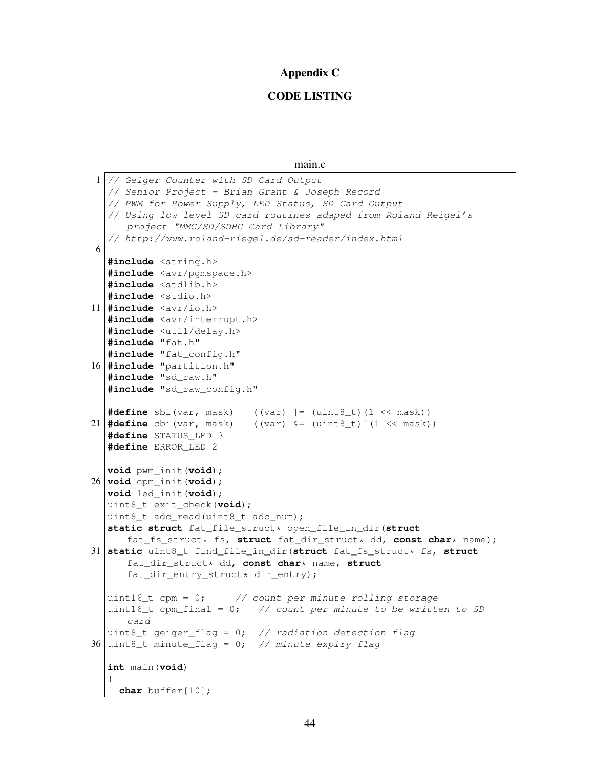#### Appendix C

# CODE LISTING

main.c

```
1 // Geiger Counter with SD Card Output
  // Senior Project - Brian Grant & Joseph Record
  // PWM for Power Supply, LED Status, SD Card Output
  // Using low level SD card routines adaped from Roland Reigel's
      project "MMC/SD/SDHC Card Library"
  // http://www.roland-riegel.de/sd-reader/index.html
6
  #include <string.h>
  #include <avr/pgmspace.h>
  #include <stdlib.h>
  #include <stdio.h>
11 #include <avr/io.h>
  #include <avr/interrupt.h>
  #include <util/delay.h>
  #include "fat.h"
  #include "fat_config.h"
16 #include "partition.h"
  #include "sd_raw.h"
  #include "sd_raw_config.h"
  #define sbi(var, mask) ((var) |= (uint8_t)(1 << mask))
21 \# \text{define } \text{chi}( \text{var}, \text{mask}) ((var) \& = (uint 8_t)~(1 << mask))
  #define STATUS_LED 3
  #define ERROR_LED 2
  void pwm_init(void);
26 void cpm_init(void);
  void led_init(void);
  uint8_t exit_check(void);
  uint8_t adc_read(uint8_t adc_num);
  static struct fat_file_struct* open_file_in_dir(struct
      fat_fs_struct* fs, struct fat_dir_struct* dd, const char* name);
31 static uint8_t find_file_in_dir(struct fat_fs_struct* fs, struct
      fat_dir_struct* dd, const char* name, struct
      fat_dir_entry_struct* dir_entry);
  uint16_t cpm = 0; // count per minute rolling storage
  uint16_t cpm_final = 0; // count per minute to be written to SD
      card
  uint8_t geiger_flag = 0; // radiation detection flag
36 uint8_t minute_flag = 0; // minute expiry flag
  int main(void)
  {
    char buffer[10];
```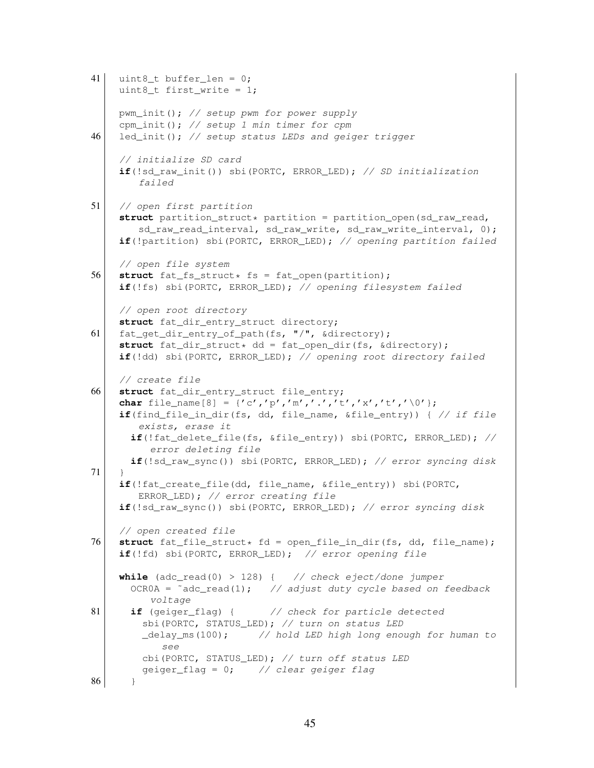```
41 uint8 t buffer len = 0;
    uint8_t first_write = 1;
    pwm_init(); // setup pwm for power supply
     cpm_init(); // setup 1 min timer for cpm
46 led_init(); // setup status LEDs and geiger trigger
     // initialize SD card
     if(!sd_raw_init()) sbi(PORTC, ERROR_LED); // SD initialization
        failed
51 // open first partition
     struct partition_struct* partition = partition_open(sd_raw_read,
        sd_raw_read_interval, sd_raw_write, sd_raw_write_interval, 0);
     if(!partition) sbi(PORTC, ERROR_LED); // opening partition failed
    // open file system
56 struct fat_fs_struct* fs = fat_open(partition);
    if(!fs) sbi(PORTC, ERROR_LED); // opening filesystem failed
    // open root directory
    struct fat_dir_entry_struct directory;
61 fat_get_dir_entry_of_path(fs, "/", &directory);
    struct fat_dir_struct* dd = fat_open_dir(fs, &directory);
    if(!dd) sbi(PORTC, ERROR_LED); // opening root directory failed
     // create file
66 struct fat dir entry struct file entry;
    char file_name[8] = {'c','p','m','.','t','x','t','\0'};
     if(find_file_in_dir(fs, dd, file_name, &file_entry)) { // if file
        exists, erase it
      if(!fat_delete_file(fs, &file_entry)) sbi(PORTC, ERROR_LED); //
          error deleting file
      if(!sd_raw_sync()) sbi(PORTC, ERROR_LED); // error syncing disk
71 }
    if(!fat_create_file(dd, file_name, &file_entry)) sbi(PORTC,
        ERROR_LED); // error creating file
    if(!sd_raw_sync()) sbi(PORTC, ERROR_LED); // error syncing disk
     // open created file
76 struct fat_file_struct* fd = open_file_in_dir(fs, dd, file_name);
     if(!fd) sbi(PORTC, ERROR_LED); // error opening file
    while (adc_read(0) > 128) { // check eject/done jumper
      OCR0A = \text{adc\_read}(1); // adjust duty cycle based on feedback
          voltage
81 if (geiger_flag) { // check for particle detected
        sbi(PORTC, STATUS_LED); // turn on status LED
        _delay_ms(100); // hold LED high long enough for human to
            see
        cbi(PORTC, STATUS LED); // turn off status LED
        geiger_flag = 0; // clear geiger flag
86 }
```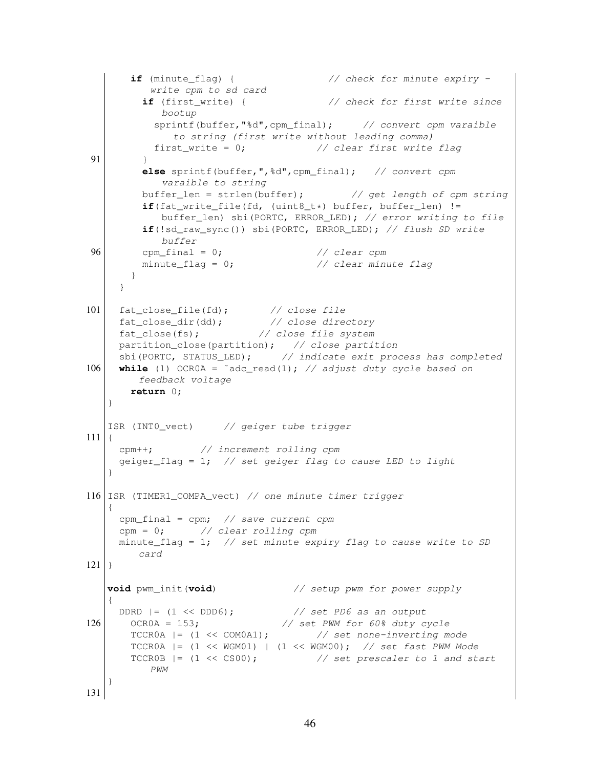```
if (minute_flag) { // check for minute expiry -
          write cpm to sd card
         if (first_write) { // check for first write since
            bootup
           sprintf(buffer,"%d",cpm_final); // convert cpm varaible
              to string (first write without leading comma)
           first_write = 0; \frac{1}{2} // clear first write flag
91 }
         else sprintf(buffer,",%d",cpm_final); // convert cpm
            varaible to string
         buffer len = strlen(buffer); \frac{1}{2} // get length of cpm string
         if(fat_write_file(fd, (uint8_t*) buffer, buffer_len) !=
            buffer len) sbi(PORTC, ERROR LED); // error writing to file
         if(!sd_raw_sync()) sbi(PORTC, ERROR_LED); // flush SD write
            buffer
96 cpm final = 0; \frac{1}{2} // clear cpm
         minute flag = 0; \frac{1}{2} // clear minute flag
       }
     }
101 fat_close_file(fd); // close file<br>fat_close_dir(dd); // close directory
     fat_close_dir(dd); // close directory
     fat_close(fs); \frac{1}{2} // close file system
    partition_close(partition); // close partition
     sbi(PORTC, STATUS_LED); // indicate exit process has completed
106 \vert while (1) OCROA = \tilde{a} adc_read(1); // adjust duty cycle based on
       feedback voltage
      return 0;
   }
   ISR (INT0_vect) // geiger tube trigger
111 {
    cpm++; // increment rolling cpm
    geiger_flag = 1; \frac{1}{2} // set geiger flag to cause LED to light
   }
116 ISR (TIMER1_COMPA_vect) // one minute timer trigger
   \left\{ \right.cpm_final = cpm; // save current cpm
    cpm = 0; // clear rolling cpm
    minute_flag = 1; \frac{1}{s} // set minute expiry flag to cause write to SD
       card
121 }
   void pwm_init(void) // setup pwm for power supply
   {
    DDRD | = (1 \ll DDD6); \frac{153}{153} // set PD6 as an output
126 OCROA = 153; \frac{153}{100} OCROA = 153;
       TCCR0A |= (1 << COM0A1); // set none-inverting mode
      TCCR0A |= (1 << WGM01) | (1 << WGM00); // set fast PWM Mode
      TCCR0B | = (1 \leq C); \frac{1}{2} set prescaler to 1 and start
          PWM
   }
131
```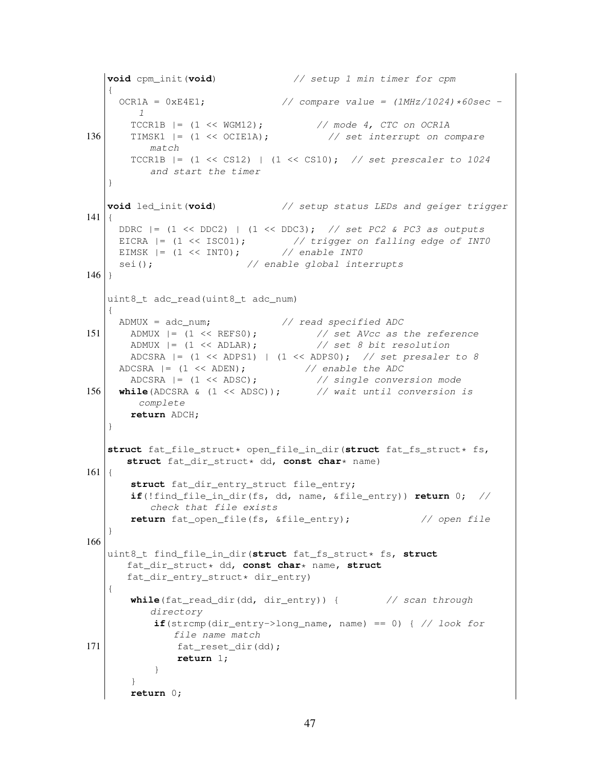```
void cpm_init(void) // setup 1 min timer for cpm
   {
     OCR1A = 0xE4E1; // compare value = (1MHz/1024)*60sec -
        1
       TCCR1B = (1 \ll WGM12); \qquad \qquad \frac{1}{\sqrt{1 + 1}} mode 4, CTC on OCR1A136 TIMSK1 = (1 << OCIE1A); \frac{1}{s} of \frac{s}{s} interrupt on compare
          match
       TCCR1B |= (1 << CS12) | (1 << CS10); // set prescaler to 1024
          and start the timer
   }
   void led_init(void) // setup status LEDs and geiger trigger
141 {
    DDRC | = (1 \ll DDC2) | (1 \ll DDC3); // set PC2 & PC3 as outputs
     EICRA | = (1 \lt\lt ISC01); // trigger on falling edge of INTO
     EIMSK | = (1 \ll INT0); // enable INT0sei(); \frac{1}{2} // enable global interrupts
146 }
   uint8_t adc_read(uint8_t adc_num)
   {
    ADMUX = adc_num; \frac{1}{\sqrt{2}} read specified ADC
151 ADMUX |= (1 << REFS0); // set AVcc as the reference
       ADMUX |= (1 << ADLAR); // set 8 bit resolution
      ADCSRA | = (1 \ll \text{ADPS1}) | (1 \ll \text{ADPS0}); // set presaler to 8
     ADCSRA | = (1 \ll \text{ADEN}); // enable the ADC
       ADCSRA |= (1 << ADSC); \frac{1}{3} // single conversion mode
156 while(ADCSRA & (1 << ADSC)); // wait until conversion is
       complete
       return ADCH;
   }
   struct fat_file_struct* open_file_in_dir(struct fat_fs_struct* fs,
      struct fat dir struct* dd, const char* name)
161 {
      struct fat_dir_entry_struct file_entry;
       if(!find_file_in_dir(fs, dd, name, &file_entry)) return 0; //
          check that file exists
       return fat_open_file(fs, &file_entry); // open file
   }
166
   uint8_t find_file_in_dir(struct fat_fs_struct* fs, struct
     fat_dir_struct* dd, const char* name, struct
      fat_dir_entry_struct* dir_entry)
   {
      while(fat_read_dir(dd, dir_entry)) { // scan through
         directory
          if(strcmp(dir_entry->long_name, name) == 0) { // look for
             file name match
171 fat reset dir(dd);
              return 1;
           }
       }
       return 0;
```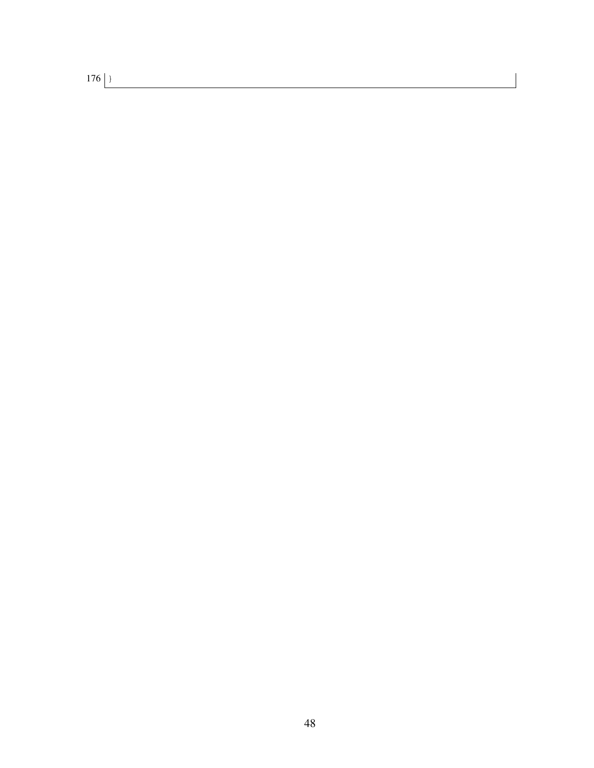176 }